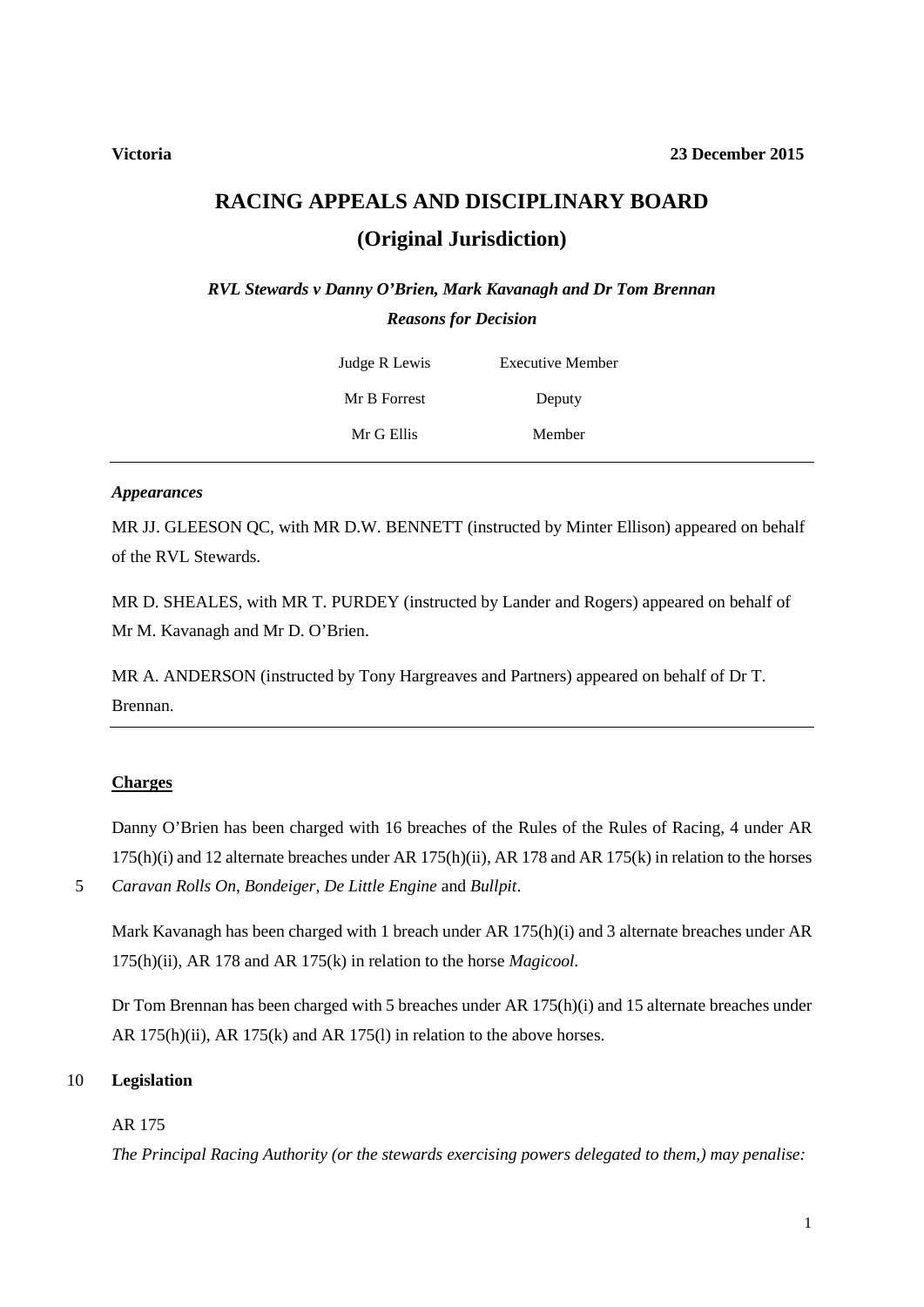# **RACING APPEALS AND DISCIPLINARY BOARD (Original Jurisdiction)**

*RVL Stewards v Danny O'Brien, Mark Kavanagh and Dr Tom Brennan Reasons for Decision*

| Judge R Lewis | <b>Executive Member</b> |  |
|---------------|-------------------------|--|
| Mr B Forrest  | Deputy                  |  |
| Mr G Ellis    | Member                  |  |

### *Appearances*

MR JJ. GLEESON QC, with MR D.W. BENNETT (instructed by Minter Ellison) appeared on behalf of the RVL Stewards.

MR D. SHEALES, with MR T. PURDEY (instructed by Lander and Rogers) appeared on behalf of Mr M. Kavanagh and Mr D. O'Brien.

MR A. ANDERSON (instructed by Tony Hargreaves and Partners) appeared on behalf of Dr T. Brennan.

# **Charges**

Danny O'Brien has been charged with 16 breaches of the Rules of the Rules of Racing, 4 under AR 175(h)(i) and 12 alternate breaches under AR 175(h)(ii), AR 178 and AR 175(k) in relation to the horses

5 *Caravan Rolls On*, *Bondeiger*, *De Little Engine* and *Bullpit*.

Mark Kavanagh has been charged with 1 breach under AR 175(h)(i) and 3 alternate breaches under AR 175(h)(ii), AR 178 and AR 175(k) in relation to the horse *Magicool.*

Dr Tom Brennan has been charged with 5 breaches under AR 175(h)(i) and 15 alternate breaches under AR 175(h)(ii), AR 175(k) and AR 175(l) in relation to the above horses.

# 10 **Legislation**

# AR 175

*The Principal Racing Authority (or the stewards exercising powers delegated to them,) may penalise:*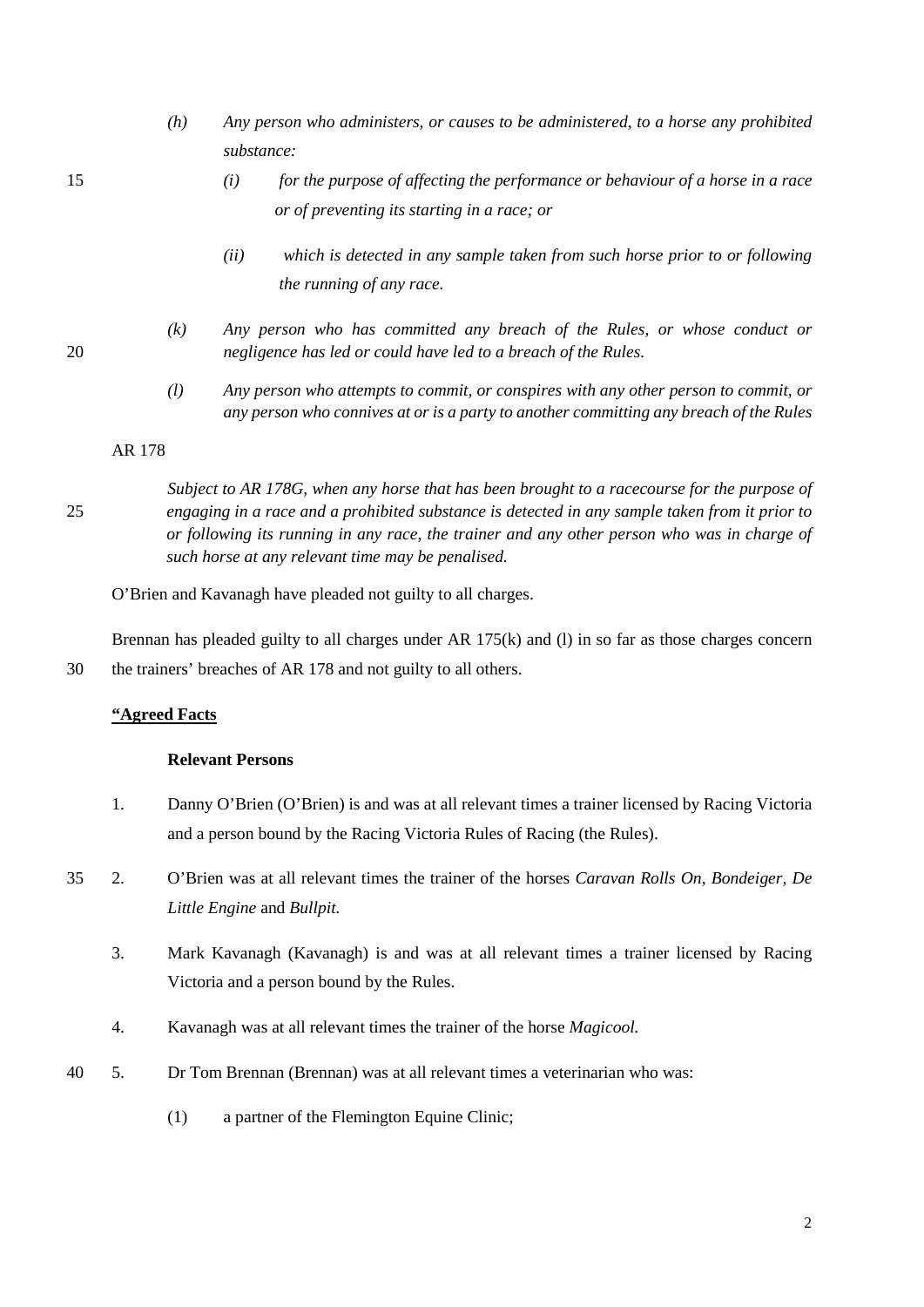- *(h) Any person who administers, or causes to be administered, to a horse any prohibited substance:*
- 

15 *(i) for the purpose of affecting the performance or behaviour of a horse in a race or of preventing its starting in a race; or*

- *(ii) which is detected in any sample taken from such horse prior to or following the running of any race.*
- *(k) Any person who has committed any breach of the Rules, or whose conduct or*  20 *negligence has led or could have led to a breach of the Rules.*
	- *(l) Any person who attempts to commit, or conspires with any other person to commit, or any person who connives at or is a party to another committing any breach of the Rules*

#### AR 178

*Subject to AR 178G, when any horse that has been brought to a racecourse for the purpose of*  25 *engaging in a race and a prohibited substance is detected in any sample taken from it prior to or following its running in any race, the trainer and any other person who was in charge of such horse at any relevant time may be penalised.*

O'Brien and Kavanagh have pleaded not guilty to all charges.

Brennan has pleaded guilty to all charges under AR 175(k) and (l) in so far as those charges concern 30 the trainers' breaches of AR 178 and not guilty to all others.

# **"Agreed Facts**

# **Relevant Persons**

- 1. Danny O'Brien (O'Brien) is and was at all relevant times a trainer licensed by Racing Victoria and a person bound by the Racing Victoria Rules of Racing (the Rules).
- 35 2. O'Brien was at all relevant times the trainer of the horses *Caravan Rolls On*, *Bondeiger, De Little Engine* and *Bullpit.*
	- 3. Mark Kavanagh (Kavanagh) is and was at all relevant times a trainer licensed by Racing Victoria and a person bound by the Rules.
	- 4. Kavanagh was at all relevant times the trainer of the horse *Magicool.*
- 40 5. Dr Tom Brennan (Brennan) was at all relevant times a veterinarian who was:
	- (1) a partner of the Flemington Equine Clinic;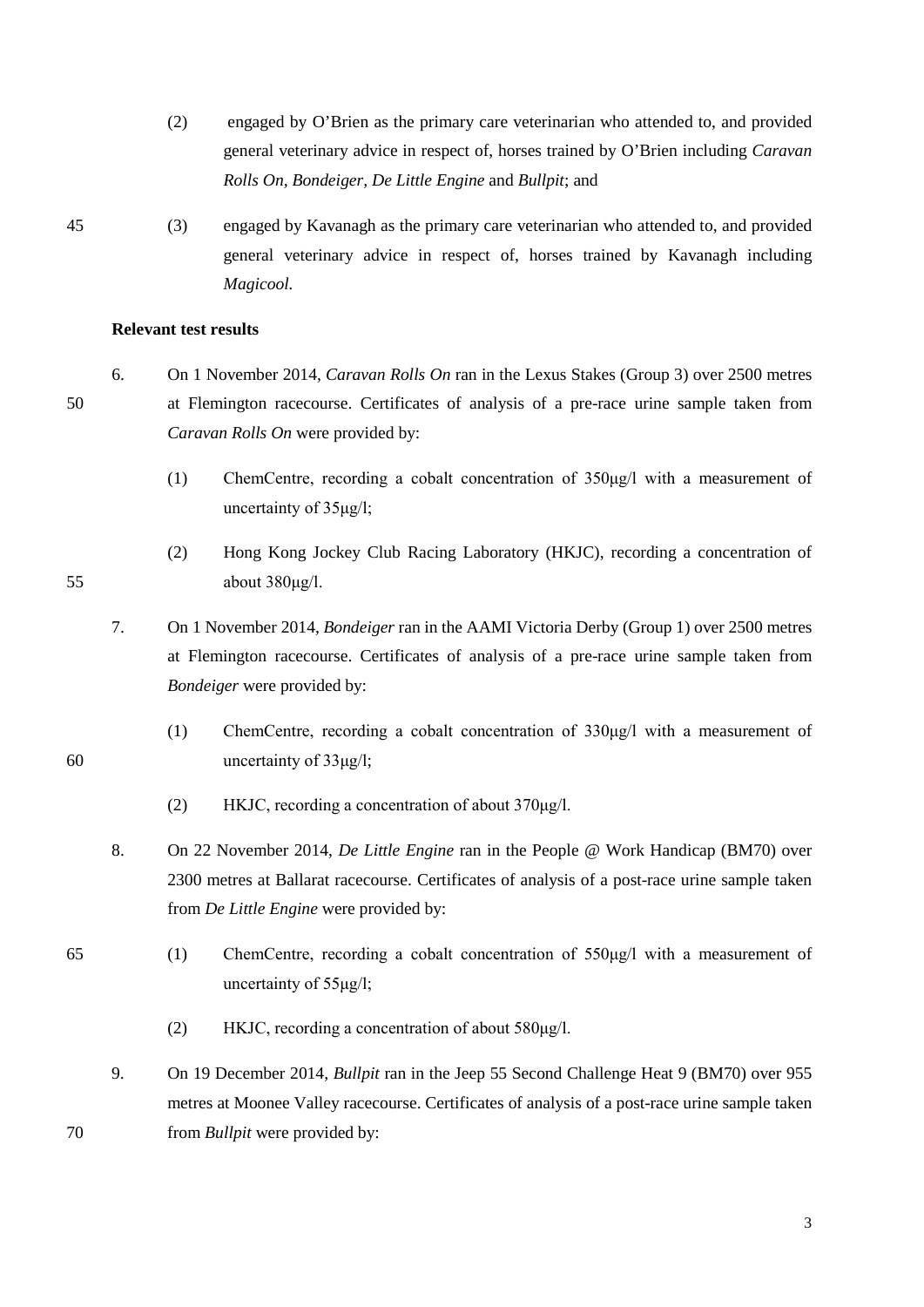- (2) engaged by O'Brien as the primary care veterinarian who attended to, and provided general veterinary advice in respect of, horses trained by O'Brien including *Caravan Rolls On, Bondeiger, De Little Engine* and *Bullpit*; and
- 45 (3) engaged by Kavanagh as the primary care veterinarian who attended to, and provided general veterinary advice in respect of, horses trained by Kavanagh including *Magicool.*

#### **Relevant test results**

- 6. On 1 November 2014, *Caravan Rolls On* ran in the Lexus Stakes (Group 3) over 2500 metres 50 at Flemington racecourse. Certificates of analysis of a pre-race urine sample taken from *Caravan Rolls On* were provided by:
	- (1) ChemCentre, recording a cobalt concentration of 350μg/l with a measurement of uncertainty of 35μg/l;
- (2) Hong Kong Jockey Club Racing Laboratory (HKJC), recording a concentration of 55 about 380μg/l.
	- 7. On 1 November 2014, *Bondeiger* ran in the AAMI Victoria Derby (Group 1) over 2500 metres at Flemington racecourse. Certificates of analysis of a pre-race urine sample taken from *Bondeiger* were provided by:
- (1) ChemCentre, recording a cobalt concentration of 330μg/l with a measurement of 60 uncertainty of 33μg/l;
	- (2) HKJC, recording a concentration of about 370μg/l.
	- 8. On 22 November 2014, *De Little Engine* ran in the People @ Work Handicap (BM70) over 2300 metres at Ballarat racecourse. Certificates of analysis of a post-race urine sample taken from *De Little Engine* were provided by:
- 65 (1) ChemCentre, recording a cobalt concentration of 550μg/l with a measurement of uncertainty of 55μg/l;
	- (2) HKJC, recording a concentration of about 580μg/l.
- 9. On 19 December 2014, *Bullpit* ran in the Jeep 55 Second Challenge Heat 9 (BM70) over 955 metres at Moonee Valley racecourse. Certificates of analysis of a post-race urine sample taken 70 from *Bullpit* were provided by:

3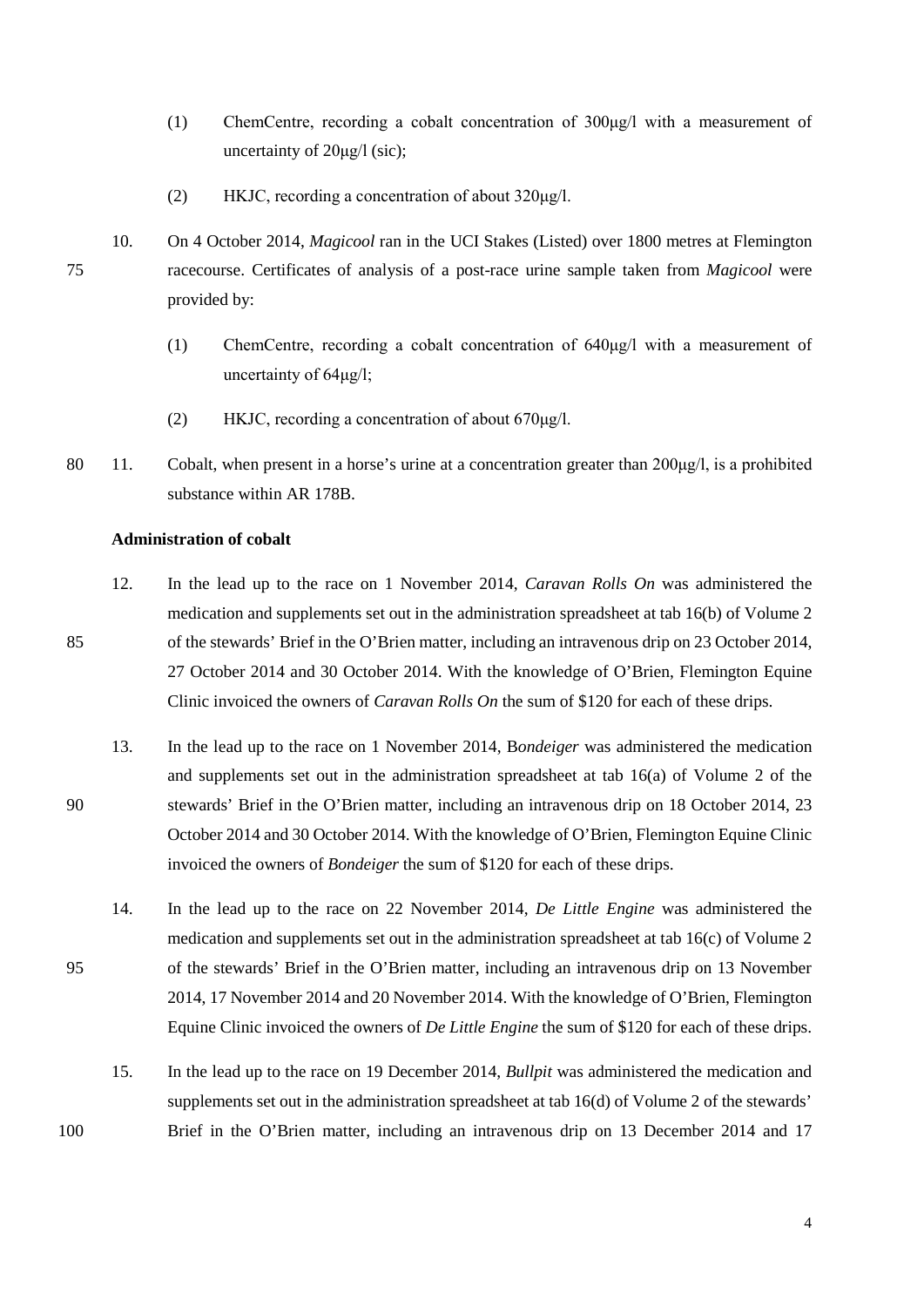- (1) ChemCentre, recording a cobalt concentration of 300μg/l with a measurement of uncertainty of 20μg/l (sic);
- (2) HKJC, recording a concentration of about 320μg/l.
- 10. On 4 October 2014, *Magicool* ran in the UCI Stakes (Listed) over 1800 metres at Flemington 75 racecourse. Certificates of analysis of a post-race urine sample taken from *Magicool* were provided by:
	- (1) ChemCentre, recording a cobalt concentration of 640μg/l with a measurement of uncertainty of 64μg/l;
	- (2) HKJC, recording a concentration of about 670μg/l.
- 80 11. Cobalt, when present in a horse's urine at a concentration greater than  $200\mu g/l$ , is a prohibited substance within AR 178B.

# **Administration of cobalt**

- 12. In the lead up to the race on 1 November 2014, *Caravan Rolls On* was administered the medication and supplements set out in the administration spreadsheet at tab 16(b) of Volume 2 85 of the stewards' Brief in the O'Brien matter, including an intravenous drip on 23 October 2014, 27 October 2014 and 30 October 2014. With the knowledge of O'Brien, Flemington Equine Clinic invoiced the owners of *Caravan Rolls On* the sum of \$120 for each of these drips.
- 13. In the lead up to the race on 1 November 2014, B*ondeiger* was administered the medication and supplements set out in the administration spreadsheet at tab 16(a) of Volume 2 of the 90 stewards' Brief in the O'Brien matter, including an intravenous drip on 18 October 2014, 23 October 2014 and 30 October 2014. With the knowledge of O'Brien, Flemington Equine Clinic invoiced the owners of *Bondeiger* the sum of \$120 for each of these drips.
- 14. In the lead up to the race on 22 November 2014, *De Little Engine* was administered the medication and supplements set out in the administration spreadsheet at tab 16(c) of Volume 2 95 of the stewards' Brief in the O'Brien matter, including an intravenous drip on 13 November 2014, 17 November 2014 and 20 November 2014. With the knowledge of O'Brien, Flemington Equine Clinic invoiced the owners of *De Little Engine* the sum of \$120 for each of these drips.
- 15. In the lead up to the race on 19 December 2014, *Bullpit* was administered the medication and supplements set out in the administration spreadsheet at tab 16(d) of Volume 2 of the stewards' 100 Brief in the O'Brien matter, including an intravenous drip on 13 December 2014 and 17

4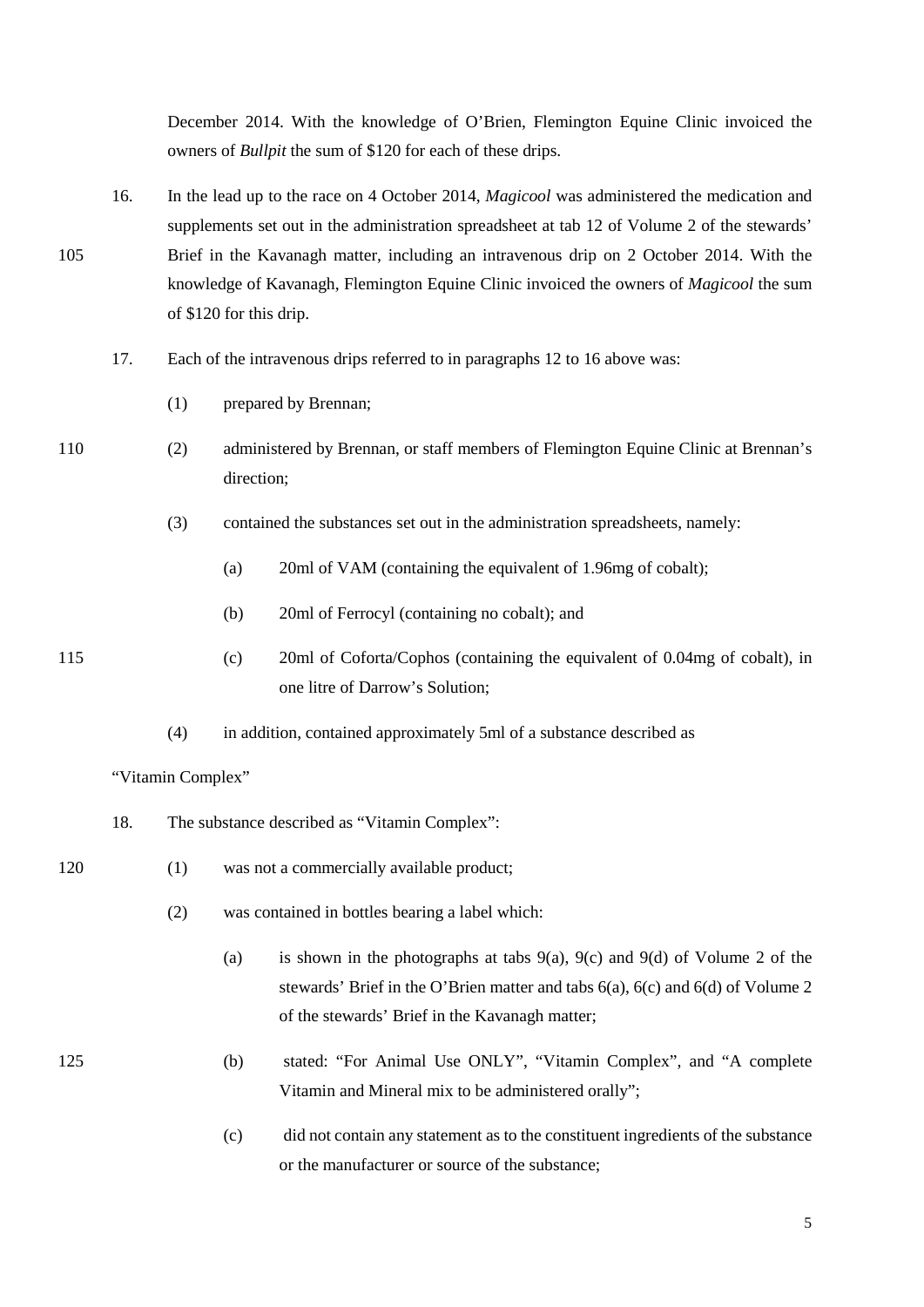December 2014. With the knowledge of O'Brien, Flemington Equine Clinic invoiced the owners of *Bullpit* the sum of \$120 for each of these drips.

- 16. In the lead up to the race on 4 October 2014, *Magicool* was administered the medication and supplements set out in the administration spreadsheet at tab 12 of Volume 2 of the stewards' 105 Brief in the Kavanagh matter, including an intravenous drip on 2 October 2014. With the knowledge of Kavanagh, Flemington Equine Clinic invoiced the owners of *Magicool* the sum of \$120 for this drip.
	- 17. Each of the intravenous drips referred to in paragraphs 12 to 16 above was:
		- (1) prepared by Brennan;
- 110 (2) administered by Brennan, or staff members of Flemington Equine Clinic at Brennan's direction;
	- (3) contained the substances set out in the administration spreadsheets, namely:
		- (a) 20ml of VAM (containing the equivalent of 1.96mg of cobalt);
		- (b) 20ml of Ferrocyl (containing no cobalt); and
- 115 (c) 20ml of Coforta/Cophos (containing the equivalent of 0.04mg of cobalt), in one litre of Darrow's Solution;
	- (4) in addition, contained approximately 5ml of a substance described as

"Vitamin Complex"

- 18. The substance described as "Vitamin Complex":
- 120 (1) was not a commercially available product;
	- (2) was contained in bottles bearing a label which:
		- (a) is shown in the photographs at tabs  $9(a)$ ,  $9(c)$  and  $9(d)$  of Volume 2 of the stewards' Brief in the O'Brien matter and tabs 6(a), 6(c) and 6(d) of Volume 2 of the stewards' Brief in the Kavanagh matter;
- 125 (b) stated: "For Animal Use ONLY", "Vitamin Complex", and "A complete Vitamin and Mineral mix to be administered orally";
	- (c) did not contain any statement as to the constituent ingredients of the substance or the manufacturer or source of the substance;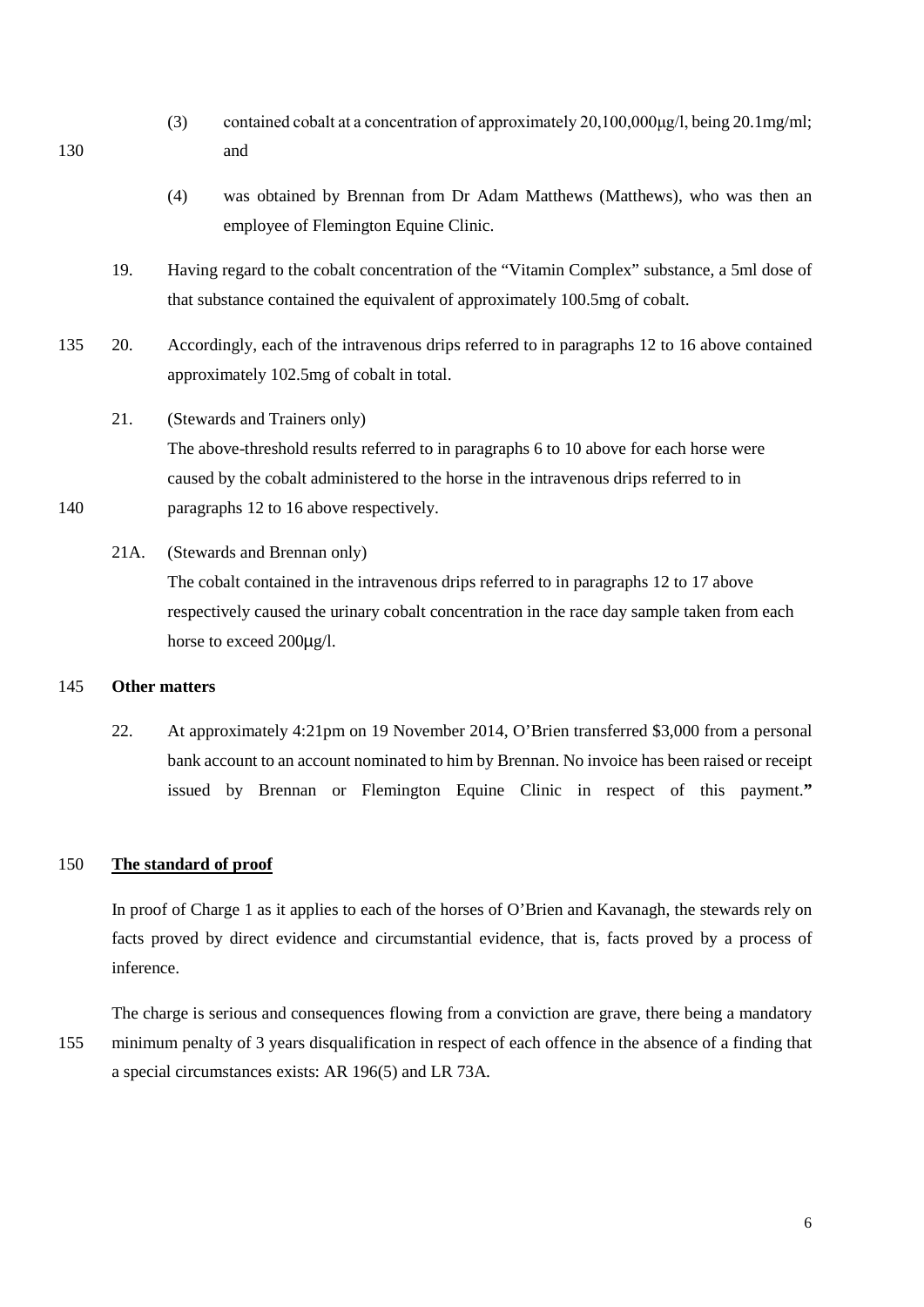- (3) contained cobalt at a concentration of approximately 20,100,000μg/l, being 20.1mg/ml; 130 and
	- (4) was obtained by Brennan from Dr Adam Matthews (Matthews), who was then an employee of Flemington Equine Clinic.
	- 19. Having regard to the cobalt concentration of the "Vitamin Complex" substance, a 5ml dose of that substance contained the equivalent of approximately 100.5mg of cobalt.
- 135 20. Accordingly, each of the intravenous drips referred to in paragraphs 12 to 16 above contained approximately 102.5mg of cobalt in total.
- 21. (Stewards and Trainers only) The above-threshold results referred to in paragraphs 6 to 10 above for each horse were caused by the cobalt administered to the horse in the intravenous drips referred to in 140 paragraphs 12 to 16 above respectively.
	- 21A. (Stewards and Brennan only)

The cobalt contained in the intravenous drips referred to in paragraphs 12 to 17 above respectively caused the urinary cobalt concentration in the race day sample taken from each horse to exceed 200µg/l.

### 145 **Other matters**

22. At approximately 4:21pm on 19 November 2014, O'Brien transferred \$3,000 from a personal bank account to an account nominated to him by Brennan. No invoice has been raised or receipt issued by Brennan or Flemington Equine Clinic in respect of this payment.**"**

### 150 **The standard of proof**

In proof of Charge 1 as it applies to each of the horses of O'Brien and Kavanagh, the stewards rely on facts proved by direct evidence and circumstantial evidence, that is, facts proved by a process of inference.

The charge is serious and consequences flowing from a conviction are grave, there being a mandatory 155 minimum penalty of 3 years disqualification in respect of each offence in the absence of a finding that a special circumstances exists: AR 196(5) and LR 73A.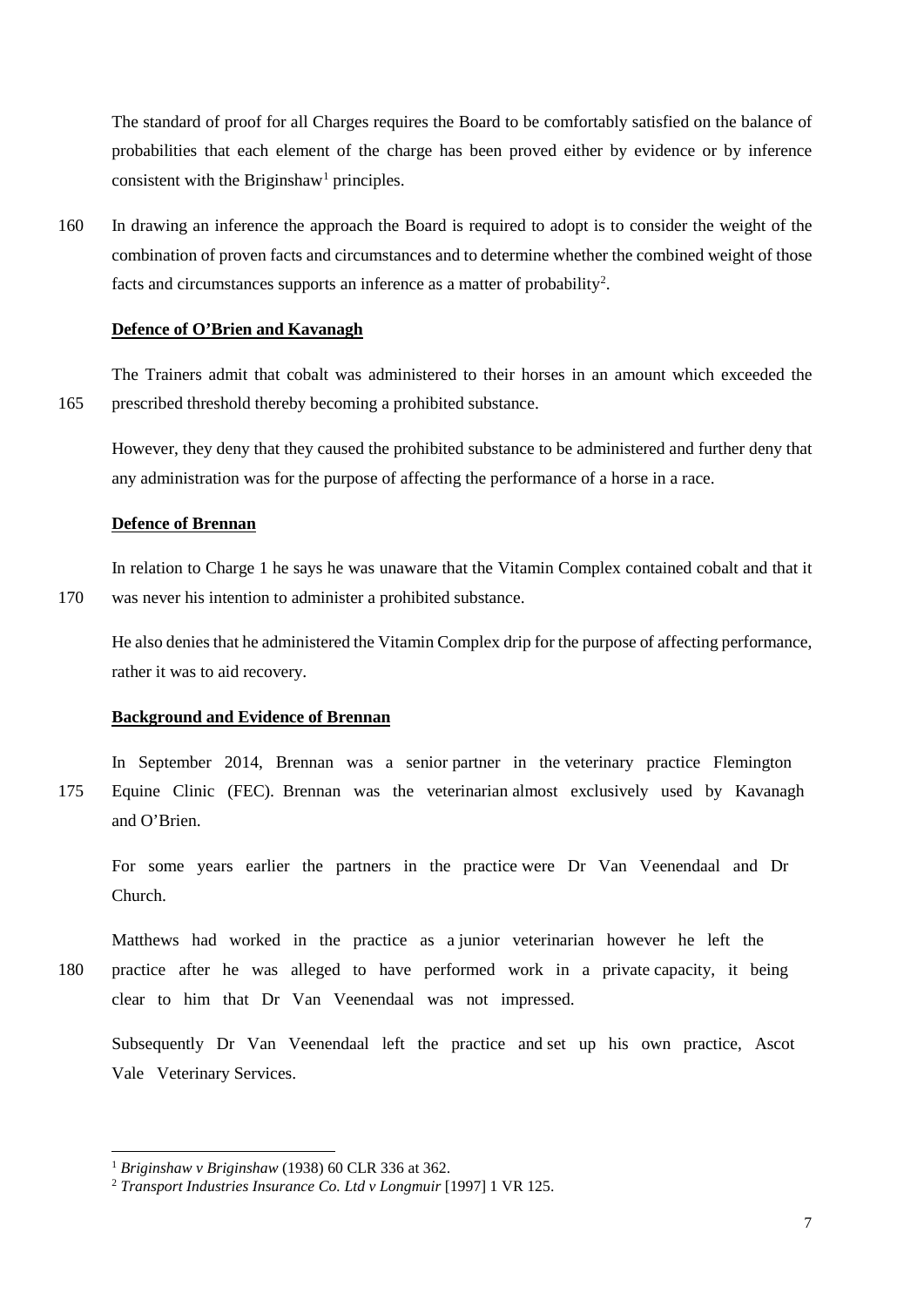The standard of proof for all Charges requires the Board to be comfortably satisfied on the balance of probabilities that each element of the charge has been proved either by evidence or by inference consistent with the Briginshaw<sup>1</sup> principles.

160 In drawing an inference the approach the Board is required to adopt is to consider the weight of the combination of proven facts and circumstances and to determine whether the combined weight of those facts and circumstances supports an inference as a matter of probability<sup>[2](#page-6-1)</sup>.

#### **Defence of O'Brien and Kavanagh**

The Trainers admit that cobalt was administered to their horses in an amount which exceeded the 165 prescribed threshold thereby becoming a prohibited substance.

However, they deny that they caused the prohibited substance to be administered and further deny that any administration was for the purpose of affecting the performance of a horse in a race.

# **Defence of Brennan**

In relation to Charge 1 he says he was unaware that the Vitamin Complex contained cobalt and that it 170 was never his intention to administer a prohibited substance.

He also denies that he administered the Vitamin Complex drip for the purpose of affecting performance, rather it was to aid recovery.

#### **Background and Evidence of Brennan**

In September 2014, Brennan was a senior partner in the veterinary practice Flemington 175 Equine Clinic (FEC). Brennan was the veterinarian almost exclusively used by Kavanagh and O'Brien.

For some years earlier the partners in the practice were Dr Van Veenendaal and Dr Church.

Matthews had worked in the practice as a junior veterinarian however he left the 180 practice after he was alleged to have performed work in a private capacity, it being clear to him that Dr Van Veenendaal was not impressed.

Subsequently Dr Van Veenendaal left the practice and set up his own practice, Ascot Vale Veterinary Services.

<span id="page-6-0"></span> <sup>1</sup> *Briginshaw v Briginshaw* (1938) 60 CLR 336 at 362.

<span id="page-6-1"></span><sup>2</sup> *Transport Industries Insurance Co. Ltd v Longmuir* [1997] 1 VR 125.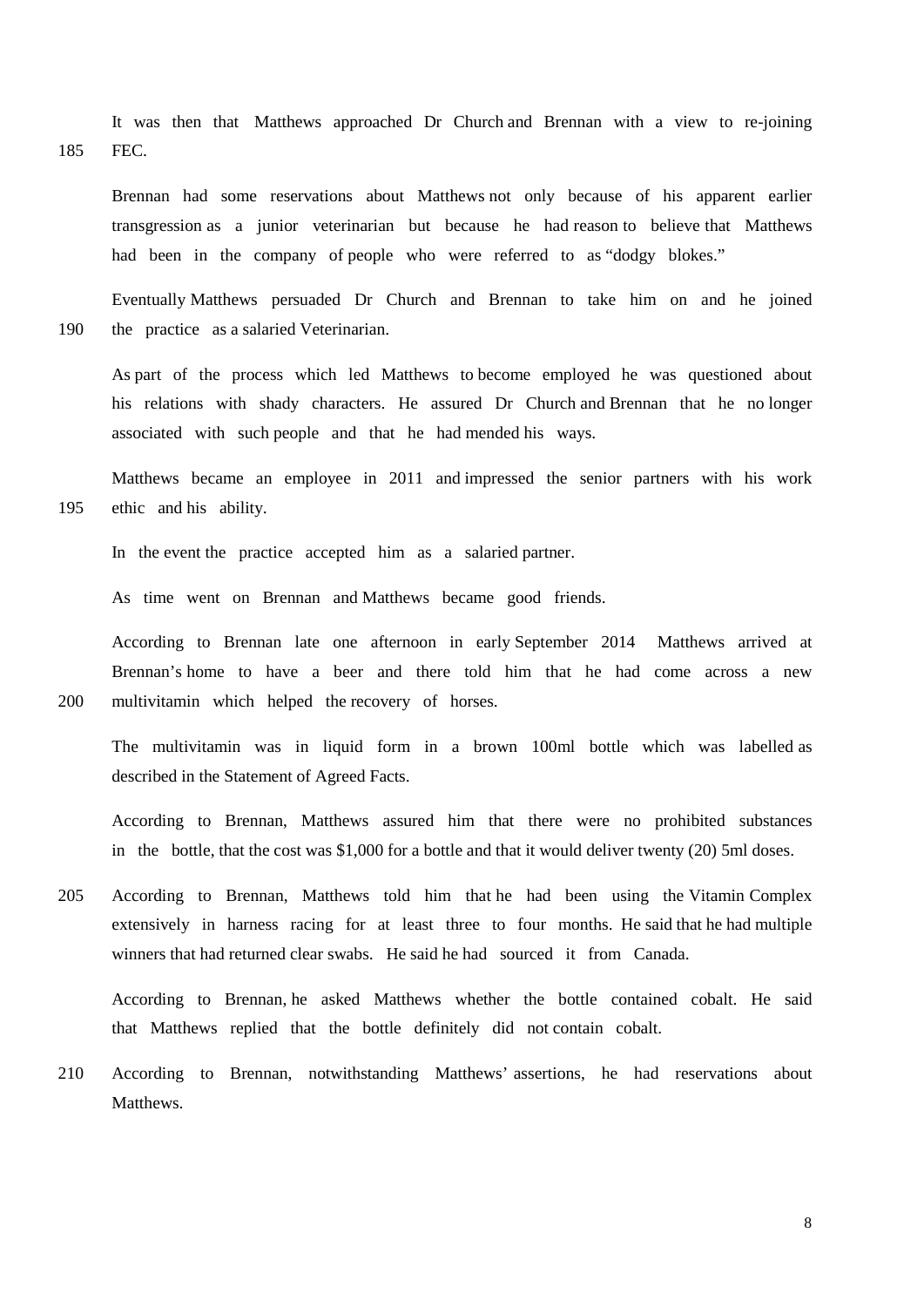It was then that Matthews approached Dr Church and Brennan with a view to re-joining 185 FEC.

Brennan had some reservations about Matthews not only because of his apparent earlier transgression as a junior veterinarian but because he had reason to believe that Matthews had been in the company of people who were referred to as "dodgy blokes."

Eventually Matthews persuaded Dr Church and Brennan to take him on and he joined 190 the practice as a salaried Veterinarian.

As part of the process which led Matthews to become employed he was questioned about his relations with shady characters. He assured Dr Church and Brennan that he no longer associated with such people and that he had mended his ways.

Matthews became an employee in 2011 and impressed the senior partners with his work 195 ethic and his ability.

In the event the practice accepted him as a salaried partner.

As time went on Brennan and Matthews became good friends.

According to Brennan late one afternoon in early September 2014 Matthews arrived at Brennan's home to have a beer and there told him that he had come across a new 200 multivitamin which helped the recovery of horses.

The multivitamin was in liquid form in a brown 100ml bottle which was labelled as described in the Statement of Agreed Facts.

According to Brennan, Matthews assured him that there were no prohibited substances in the bottle, that the cost was \$1,000 for a bottle and that it would deliver twenty (20) 5ml doses.

205 According to Brennan, Matthews told him that he had been using the Vitamin Complex extensively in harness racing for at least three to four months. He said that he had multiple winners that had returned clear swabs. He said he had sourced it from Canada.

According to Brennan, he asked Matthews whether the bottle contained cobalt. He said that Matthews replied that the bottle definitely did not contain cobalt.

210 According to Brennan, notwithstanding Matthews' assertions, he had reservations about Matthews.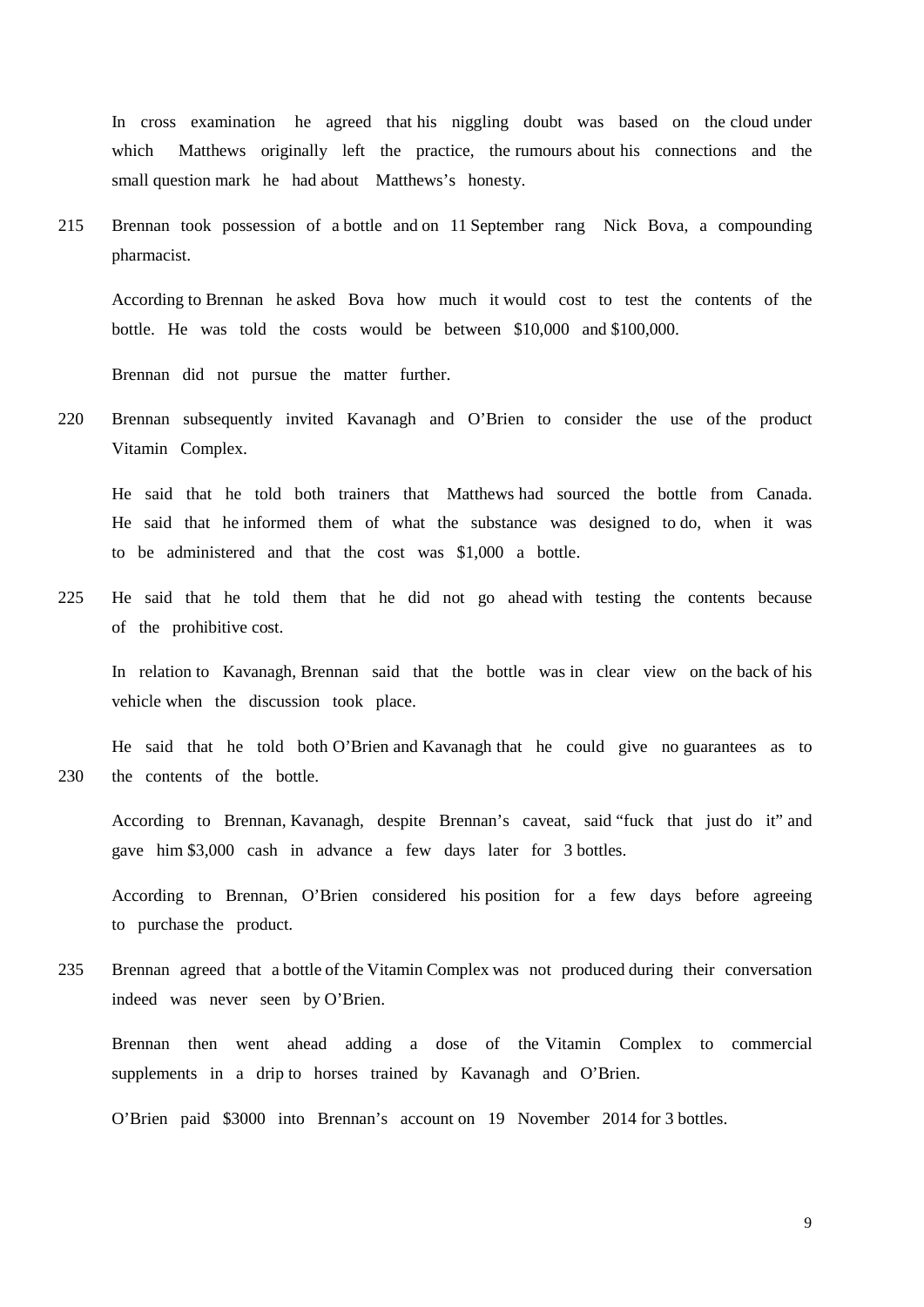In cross examination he agreed that his niggling doubt was based on the cloud under which Matthews originally left the practice, the rumours about his connections and the small question mark he had about Matthews's honesty.

215 Brennan took possession of a bottle and on 11 September rang Nick Bova, a compounding pharmacist.

According to Brennan he asked Bova how much it would cost to test the contents of the bottle. He was told the costs would be between \$10,000 and \$100,000.

Brennan did not pursue the matter further.

220 Brennan subsequently invited Kavanagh and O'Brien to consider the use of the product Vitamin Complex.

He said that he told both trainers that Matthews had sourced the bottle from Canada. He said that he informed them of what the substance was designed to do, when it was to be administered and that the cost was \$1,000 a bottle.

225 He said that he told them that he did not go ahead with testing the contents because of the prohibitive cost.

In relation to Kavanagh, Brennan said that the bottle was in clear view on the back of his vehicle when the discussion took place.

He said that he told both O'Brien and Kavanagh that he could give no guarantees as to 230 the contents of the bottle.

According to Brennan, Kavanagh, despite Brennan's caveat, said "fuck that just do it" and gave him \$3,000 cash in advance a few days later for 3 bottles.

According to Brennan, O'Brien considered his position for a few days before agreeing to purchase the product.

235 Brennan agreed that a bottle of the Vitamin Complex was not produced during their conversation indeed was never seen by O'Brien.

Brennan then went ahead adding a dose of the Vitamin Complex to commercial supplements in a drip to horses trained by Kavanagh and O'Brien.

O'Brien paid \$3000 into Brennan's account on 19 November 2014 for 3 bottles.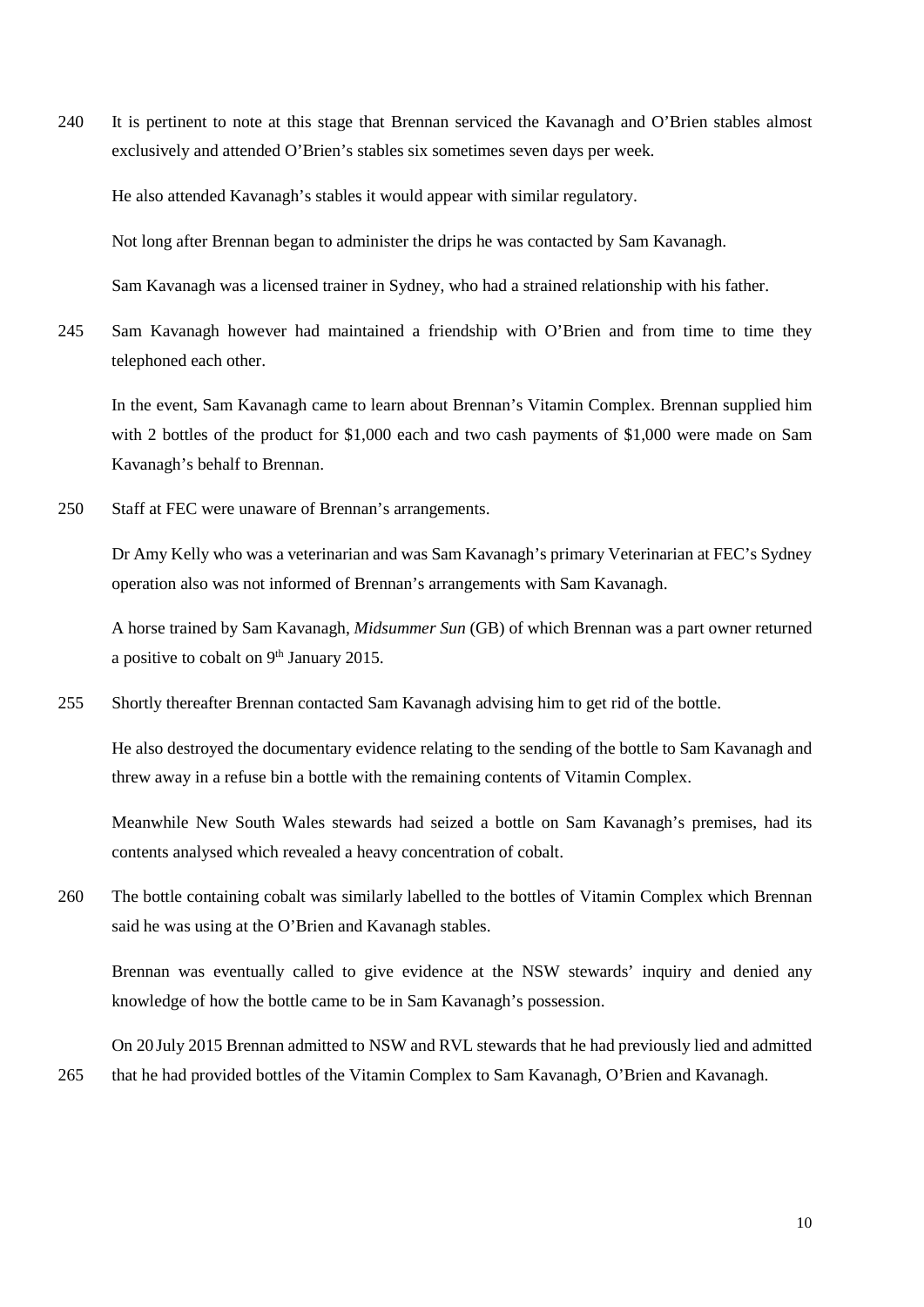240 It is pertinent to note at this stage that Brennan serviced the Kavanagh and O'Brien stables almost exclusively and attended O'Brien's stables six sometimes seven days per week.

He also attended Kavanagh's stables it would appear with similar regulatory.

Not long after Brennan began to administer the drips he was contacted by Sam Kavanagh.

Sam Kavanagh was a licensed trainer in Sydney, who had a strained relationship with his father.

245 Sam Kavanagh however had maintained a friendship with O'Brien and from time to time they telephoned each other.

In the event, Sam Kavanagh came to learn about Brennan's Vitamin Complex. Brennan supplied him with 2 bottles of the product for \$1,000 each and two cash payments of \$1,000 were made on Sam Kavanagh's behalf to Brennan.

250 Staff at FEC were unaware of Brennan's arrangements.

Dr Amy Kelly who was a veterinarian and was Sam Kavanagh's primary Veterinarian at FEC's Sydney operation also was not informed of Brennan's arrangements with Sam Kavanagh.

A horse trained by Sam Kavanagh, *Midsummer Sun* (GB) of which Brennan was a part owner returned a positive to cobalt on  $9<sup>th</sup>$  January 2015.

255 Shortly thereafter Brennan contacted Sam Kavanagh advising him to get rid of the bottle.

He also destroyed the documentary evidence relating to the sending of the bottle to Sam Kavanagh and threw away in a refuse bin a bottle with the remaining contents of Vitamin Complex.

Meanwhile New South Wales stewards had seized a bottle on Sam Kavanagh's premises, had its contents analysed which revealed a heavy concentration of cobalt.

260 The bottle containing cobalt was similarly labelled to the bottles of Vitamin Complex which Brennan said he was using at the O'Brien and Kavanagh stables.

Brennan was eventually called to give evidence at the NSW stewards' inquiry and denied any knowledge of how the bottle came to be in Sam Kavanagh's possession.

On 20 July 2015 Brennan admitted to NSW and RVL stewards that he had previously lied and admitted 265 that he had provided bottles of the Vitamin Complex to Sam Kavanagh, O'Brien and Kavanagh.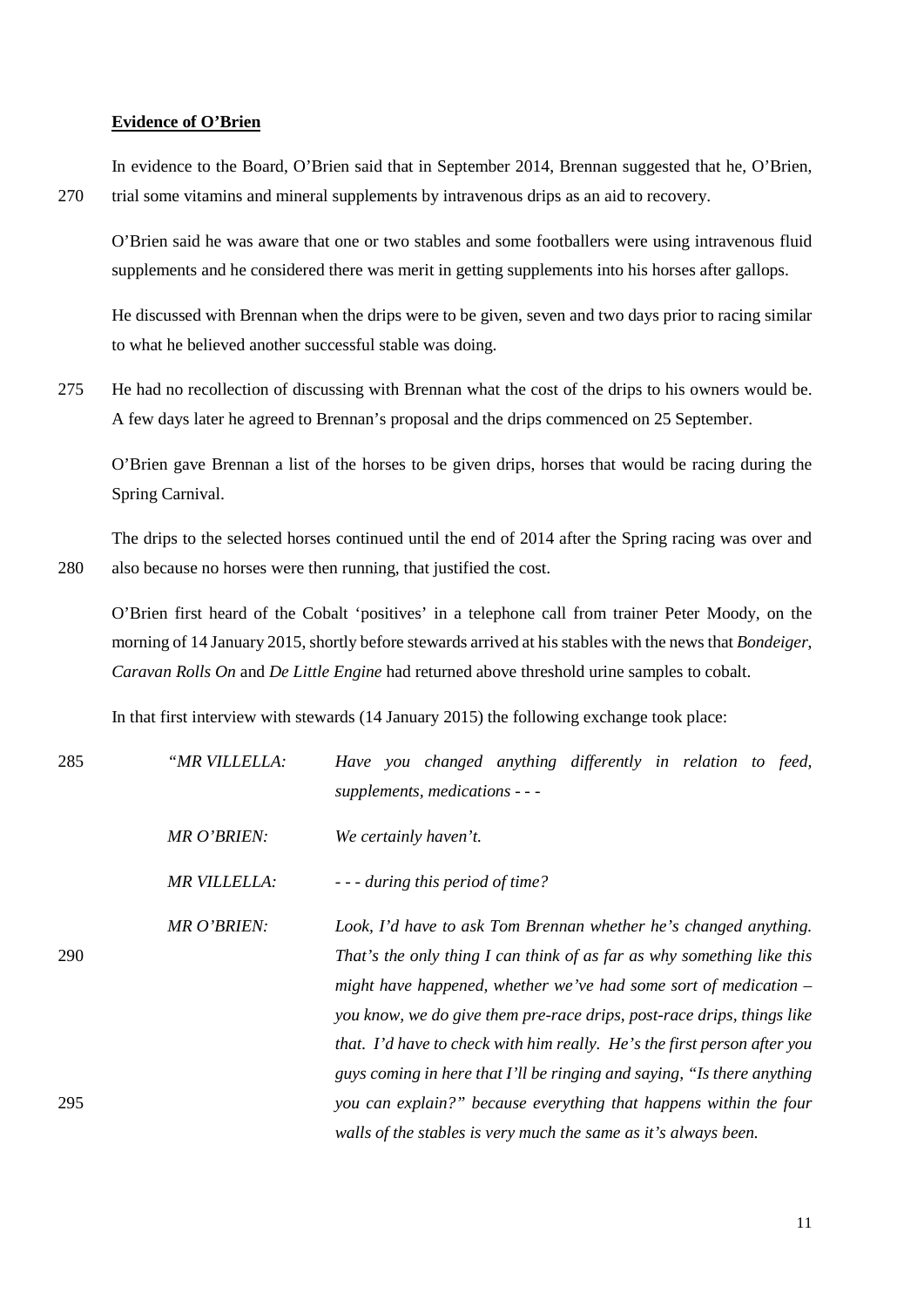#### **Evidence of O'Brien**

In evidence to the Board, O'Brien said that in September 2014, Brennan suggested that he, O'Brien, 270 trial some vitamins and mineral supplements by intravenous drips as an aid to recovery.

O'Brien said he was aware that one or two stables and some footballers were using intravenous fluid supplements and he considered there was merit in getting supplements into his horses after gallops.

He discussed with Brennan when the drips were to be given, seven and two days prior to racing similar to what he believed another successful stable was doing.

275 He had no recollection of discussing with Brennan what the cost of the drips to his owners would be. A few days later he agreed to Brennan's proposal and the drips commenced on 25 September.

O'Brien gave Brennan a list of the horses to be given drips, horses that would be racing during the Spring Carnival.

The drips to the selected horses continued until the end of 2014 after the Spring racing was over and 280 also because no horses were then running, that justified the cost.

O'Brien first heard of the Cobalt 'positives' in a telephone call from trainer Peter Moody, on the morning of 14 January 2015, shortly before stewards arrived at his stables with the news that *Bondeiger*, *Caravan Rolls On* and *De Little Engine* had returned above threshold urine samples to cobalt.

In that first interview with stewards (14 January 2015) the following exchange took place:

| 285 | "MR VILLELLA:       | Have you changed anything differently in relation to feed,<br>supplements, medications - - -                                                                                                                                                                                                                                                                           |
|-----|---------------------|------------------------------------------------------------------------------------------------------------------------------------------------------------------------------------------------------------------------------------------------------------------------------------------------------------------------------------------------------------------------|
|     | MR O'BRIEN:         | We certainly haven't.                                                                                                                                                                                                                                                                                                                                                  |
|     | <b>MR VILLELLA:</b> | - - - during this period of time?                                                                                                                                                                                                                                                                                                                                      |
| 290 | MR O'BRIEN:         | Look, I'd have to ask Tom Brennan whether he's changed anything.<br>That's the only thing I can think of as far as why something like this<br>might have happened, whether we've had some sort of medication $-$<br>you know, we do give them pre-race drips, post-race drips, things like<br>that. I'd have to check with him really. He's the first person after you |
| 295 |                     | guys coming in here that I'll be ringing and saying, "Is there anything<br>you can explain?" because everything that happens within the four<br>walls of the stables is very much the same as it's always been.                                                                                                                                                        |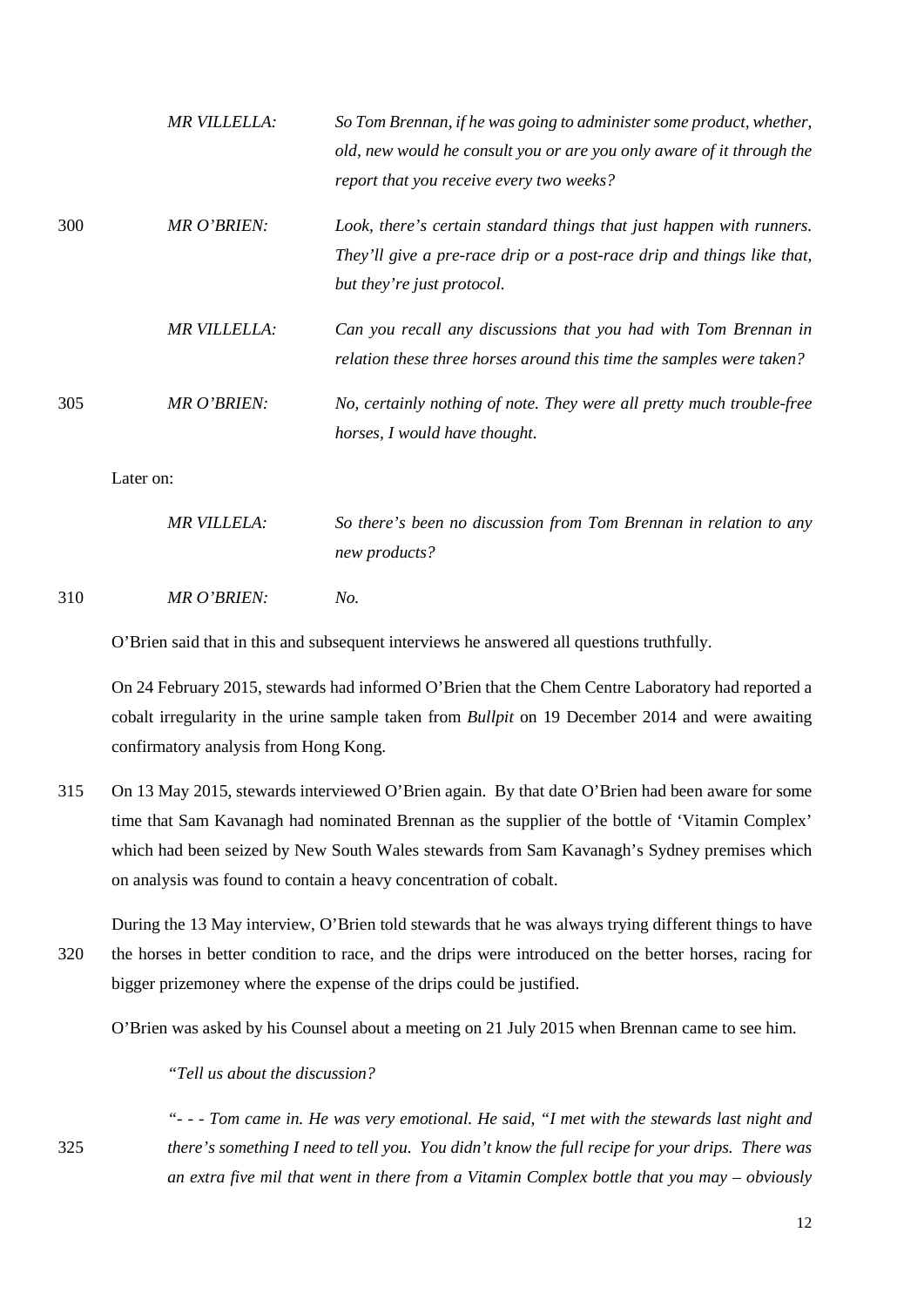|     | <b>MR VILLELLA:</b> | So Tom Brennan, if he was going to administer some product, whether,<br>old, new would he consult you or are you only aware of it through the<br>report that you receive every two weeks? |
|-----|---------------------|-------------------------------------------------------------------------------------------------------------------------------------------------------------------------------------------|
| 300 | MR O'BRIEN:         | Look, there's certain standard things that just happen with runners.<br>They'll give a pre-race drip or a post-race drip and things like that,<br>but they're just protocol.              |
|     | <b>MR VILLELLA:</b> | Can you recall any discussions that you had with Tom Brennan in<br>relation these three horses around this time the samples were taken?                                                   |
| 305 | <b>MR O'BRIEN:</b>  | No, certainly nothing of note. They were all pretty much trouble-free<br>horses, I would have thought.                                                                                    |
|     | Later on:           |                                                                                                                                                                                           |
|     | <b>MR VILLELA:</b>  | So there's been no discussion from Tom Brennan in relation to any<br>new products?                                                                                                        |
| 310 | MR O'BRIEN:         | No.                                                                                                                                                                                       |

O'Brien said that in this and subsequent interviews he answered all questions truthfully.

On 24 February 2015, stewards had informed O'Brien that the Chem Centre Laboratory had reported a cobalt irregularity in the urine sample taken from *Bullpit* on 19 December 2014 and were awaiting confirmatory analysis from Hong Kong.

315 On 13 May 2015, stewards interviewed O'Brien again. By that date O'Brien had been aware for some time that Sam Kavanagh had nominated Brennan as the supplier of the bottle of 'Vitamin Complex' which had been seized by New South Wales stewards from Sam Kavanagh's Sydney premises which on analysis was found to contain a heavy concentration of cobalt.

During the 13 May interview, O'Brien told stewards that he was always trying different things to have 320 the horses in better condition to race, and the drips were introduced on the better horses, racing for bigger prizemoney where the expense of the drips could be justified.

O'Brien was asked by his Counsel about a meeting on 21 July 2015 when Brennan came to see him.

*"Tell us about the discussion?* 

*"- - - Tom came in. He was very emotional. He said, "I met with the stewards last night and*  325 *there's something I need to tell you. You didn't know the full recipe for your drips. There was an extra five mil that went in there from a Vitamin Complex bottle that you may – obviously*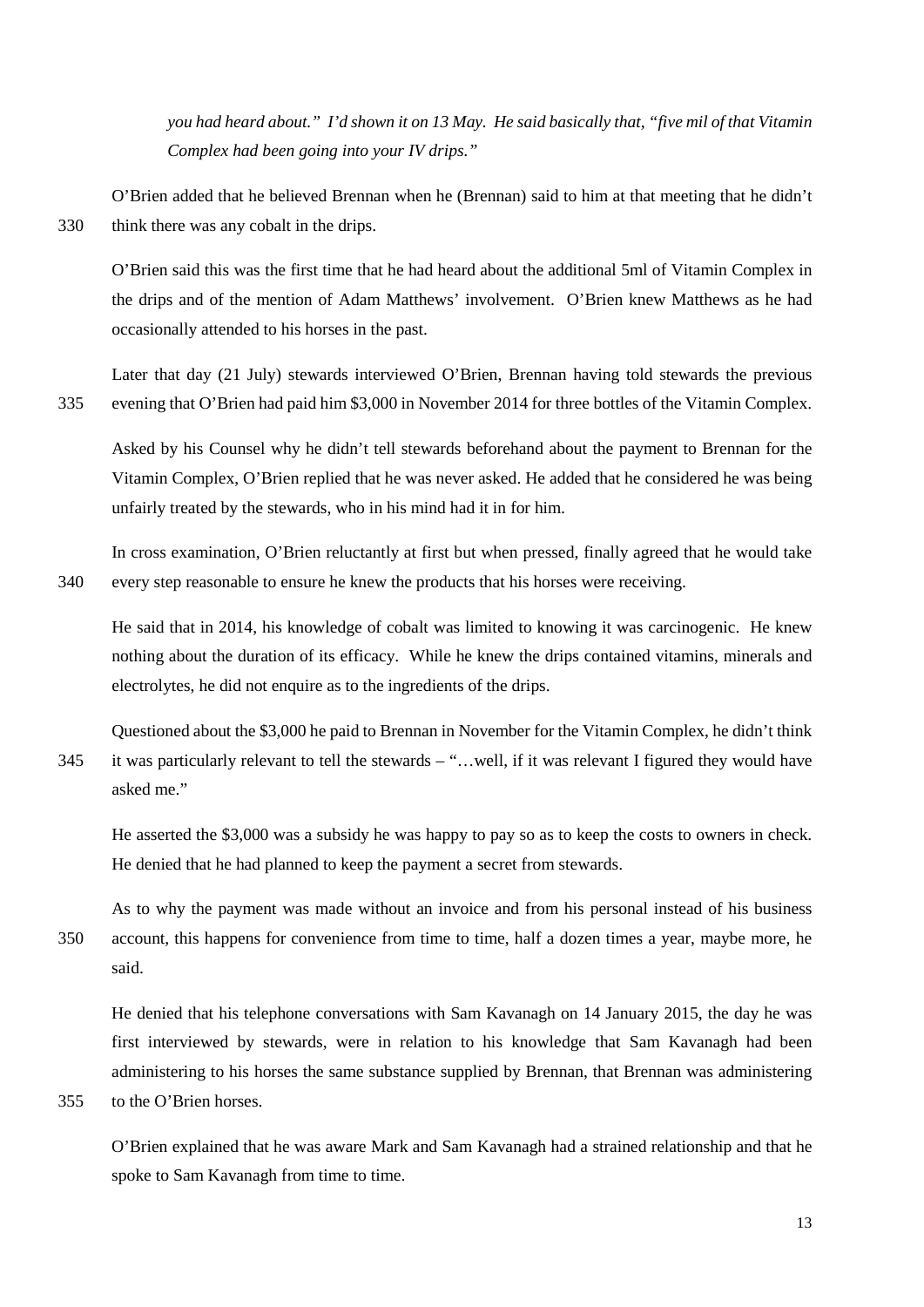*you had heard about." I'd shown it on 13 May. He said basically that, "five mil of that Vitamin Complex had been going into your IV drips."*

O'Brien added that he believed Brennan when he (Brennan) said to him at that meeting that he didn't 330 think there was any cobalt in the drips.

O'Brien said this was the first time that he had heard about the additional 5ml of Vitamin Complex in the drips and of the mention of Adam Matthews' involvement. O'Brien knew Matthews as he had occasionally attended to his horses in the past.

Later that day (21 July) stewards interviewed O'Brien, Brennan having told stewards the previous 335 evening that O'Brien had paid him \$3,000 in November 2014 for three bottles of the Vitamin Complex.

Asked by his Counsel why he didn't tell stewards beforehand about the payment to Brennan for the Vitamin Complex, O'Brien replied that he was never asked. He added that he considered he was being unfairly treated by the stewards, who in his mind had it in for him.

In cross examination, O'Brien reluctantly at first but when pressed, finally agreed that he would take 340 every step reasonable to ensure he knew the products that his horses were receiving.

He said that in 2014, his knowledge of cobalt was limited to knowing it was carcinogenic. He knew nothing about the duration of its efficacy. While he knew the drips contained vitamins, minerals and electrolytes, he did not enquire as to the ingredients of the drips.

Questioned about the \$3,000 he paid to Brennan in November for the Vitamin Complex, he didn't think 345 it was particularly relevant to tell the stewards – "…well, if it was relevant I figured they would have asked me."

He asserted the \$3,000 was a subsidy he was happy to pay so as to keep the costs to owners in check. He denied that he had planned to keep the payment a secret from stewards.

As to why the payment was made without an invoice and from his personal instead of his business 350 account, this happens for convenience from time to time, half a dozen times a year, maybe more, he said.

He denied that his telephone conversations with Sam Kavanagh on 14 January 2015, the day he was first interviewed by stewards, were in relation to his knowledge that Sam Kavanagh had been administering to his horses the same substance supplied by Brennan, that Brennan was administering 355 to the O'Brien horses.

O'Brien explained that he was aware Mark and Sam Kavanagh had a strained relationship and that he spoke to Sam Kavanagh from time to time.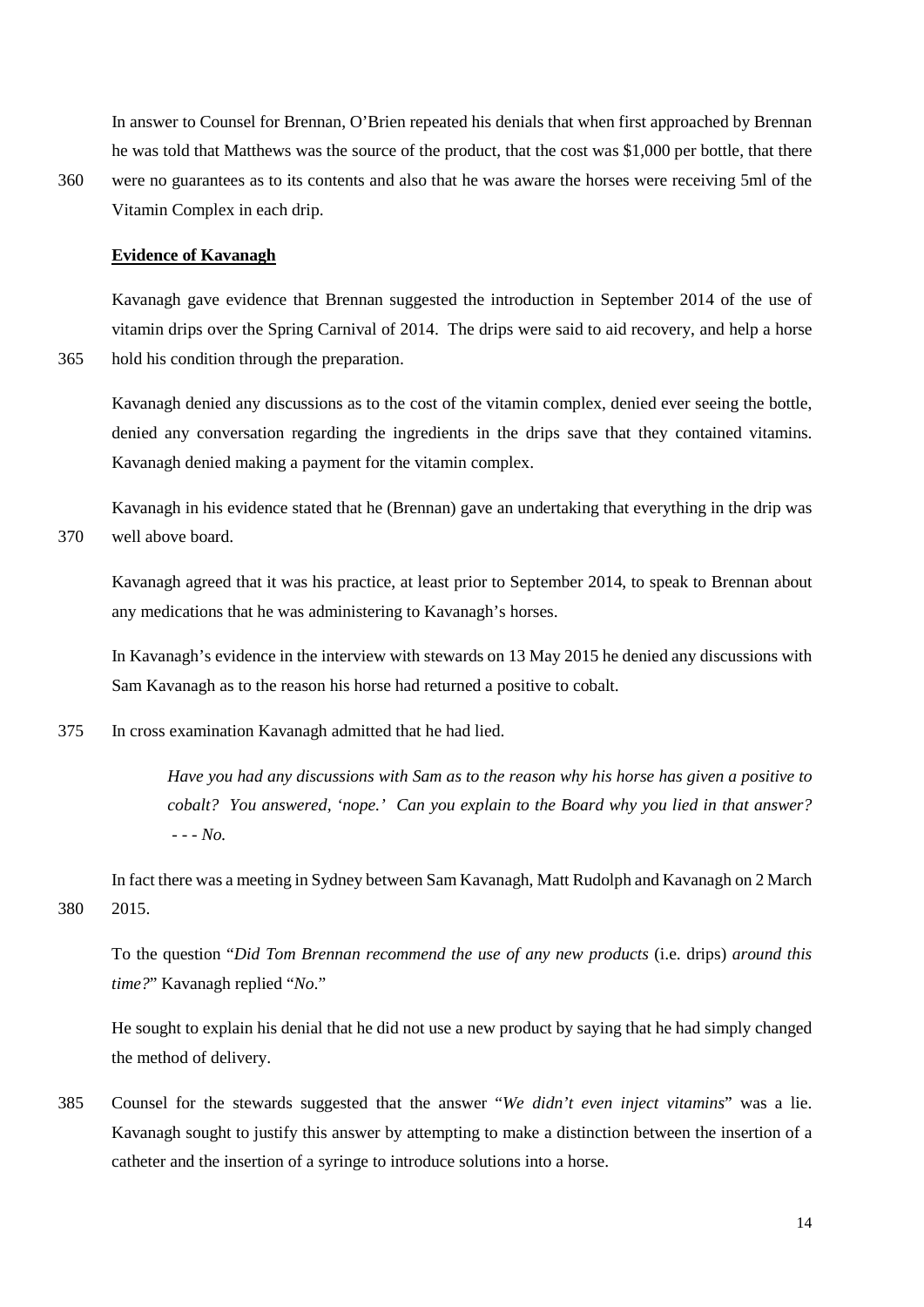In answer to Counsel for Brennan, O'Brien repeated his denials that when first approached by Brennan he was told that Matthews was the source of the product, that the cost was \$1,000 per bottle, that there

360 were no guarantees as to its contents and also that he was aware the horses were receiving 5ml of the Vitamin Complex in each drip.

# **Evidence of Kavanagh**

Kavanagh gave evidence that Brennan suggested the introduction in September 2014 of the use of vitamin drips over the Spring Carnival of 2014. The drips were said to aid recovery, and help a horse 365 hold his condition through the preparation.

Kavanagh denied any discussions as to the cost of the vitamin complex, denied ever seeing the bottle, denied any conversation regarding the ingredients in the drips save that they contained vitamins. Kavanagh denied making a payment for the vitamin complex.

Kavanagh in his evidence stated that he (Brennan) gave an undertaking that everything in the drip was 370 well above board.

Kavanagh agreed that it was his practice, at least prior to September 2014, to speak to Brennan about any medications that he was administering to Kavanagh's horses.

In Kavanagh's evidence in the interview with stewards on 13 May 2015 he denied any discussions with Sam Kavanagh as to the reason his horse had returned a positive to cobalt.

375 In cross examination Kavanagh admitted that he had lied.

*Have you had any discussions with Sam as to the reason why his horse has given a positive to cobalt? You answered, 'nope.' Can you explain to the Board why you lied in that answer? - - - No.*

In fact there was a meeting in Sydney between Sam Kavanagh, Matt Rudolph and Kavanagh on 2 March 380 2015.

To the question "*Did Tom Brennan recommend the use of any new products* (i.e. drips) *around this time?*" Kavanagh replied "*No*."

He sought to explain his denial that he did not use a new product by saying that he had simply changed the method of delivery.

385 Counsel for the stewards suggested that the answer "*We didn't even inject vitamins*" was a lie. Kavanagh sought to justify this answer by attempting to make a distinction between the insertion of a catheter and the insertion of a syringe to introduce solutions into a horse.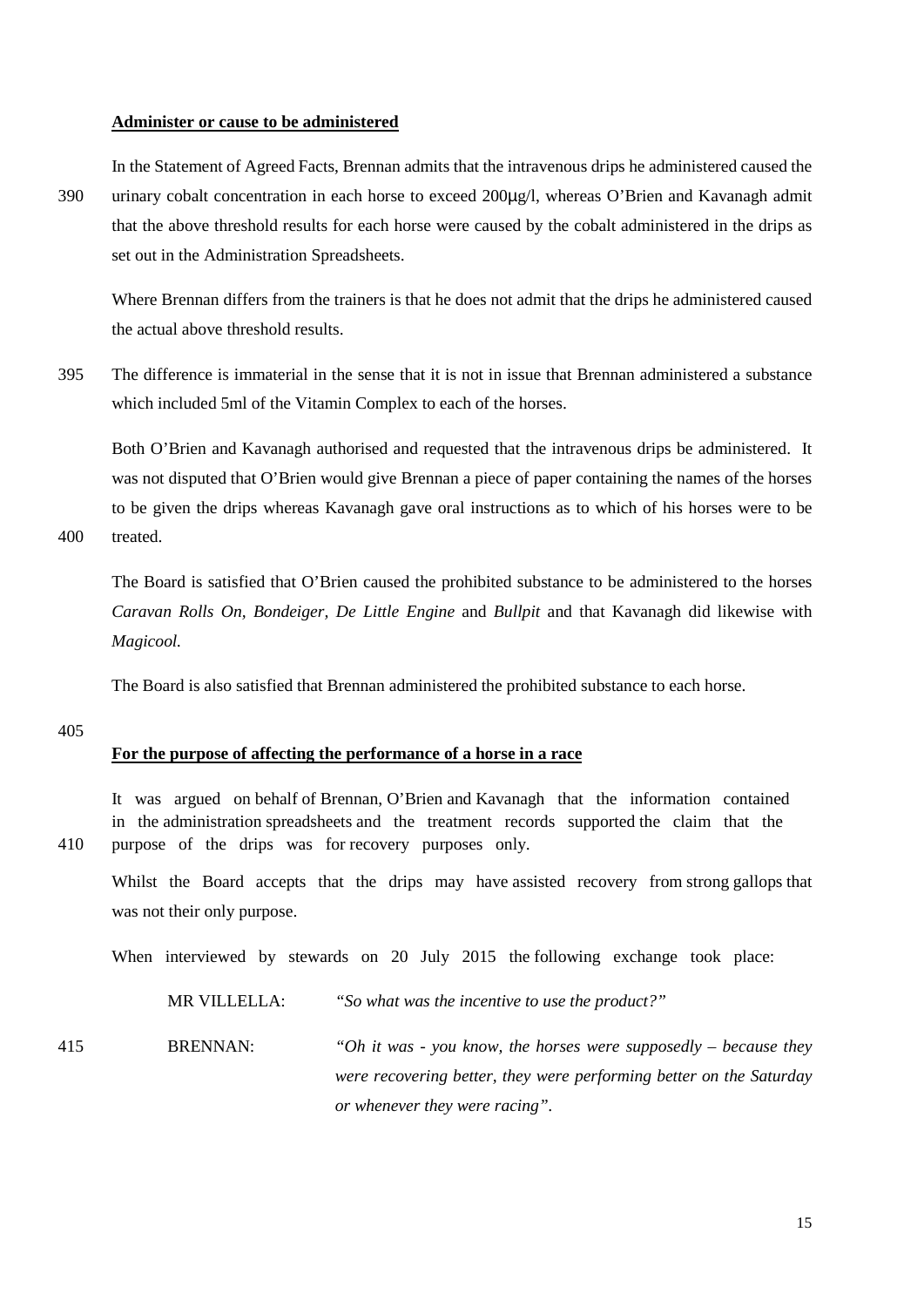#### **Administer or cause to be administered**

In the Statement of Agreed Facts, Brennan admits that the intravenous drips he administered caused the 390 urinary cobalt concentration in each horse to exceed 200µg/l, whereas O'Brien and Kavanagh admit that the above threshold results for each horse were caused by the cobalt administered in the drips as set out in the Administration Spreadsheets.

Where Brennan differs from the trainers is that he does not admit that the drips he administered caused the actual above threshold results.

395 The difference is immaterial in the sense that it is not in issue that Brennan administered a substance which included 5ml of the Vitamin Complex to each of the horses.

Both O'Brien and Kavanagh authorised and requested that the intravenous drips be administered. It was not disputed that O'Brien would give Brennan a piece of paper containing the names of the horses to be given the drips whereas Kavanagh gave oral instructions as to which of his horses were to be

400 treated.

The Board is satisfied that O'Brien caused the prohibited substance to be administered to the horses *Caravan Rolls On, Bondeiger, De Little Engine* and *Bullpit* and that Kavanagh did likewise with *Magicool.*

The Board is also satisfied that Brennan administered the prohibited substance to each horse.

405

# **For the purpose of affecting the performance of a horse in a race**

It was argued on behalf of Brennan, O'Brien and Kavanagh that the information contained in the administration spreadsheets and the treatment records supported the claim that the 410 purpose of the drips was for recovery purposes only.

Whilst the Board accepts that the drips may have assisted recovery from strong gallops that was not their only purpose.

When interviewed by stewards on 20 July 2015 the following exchange took place:

MR VILLELLA: *"So what was the incentive to use the product?"*

415 BRENNAN: *"Oh it was - you know, the horses were supposedly – because they were recovering better, they were performing better on the Saturday or whenever they were racing".*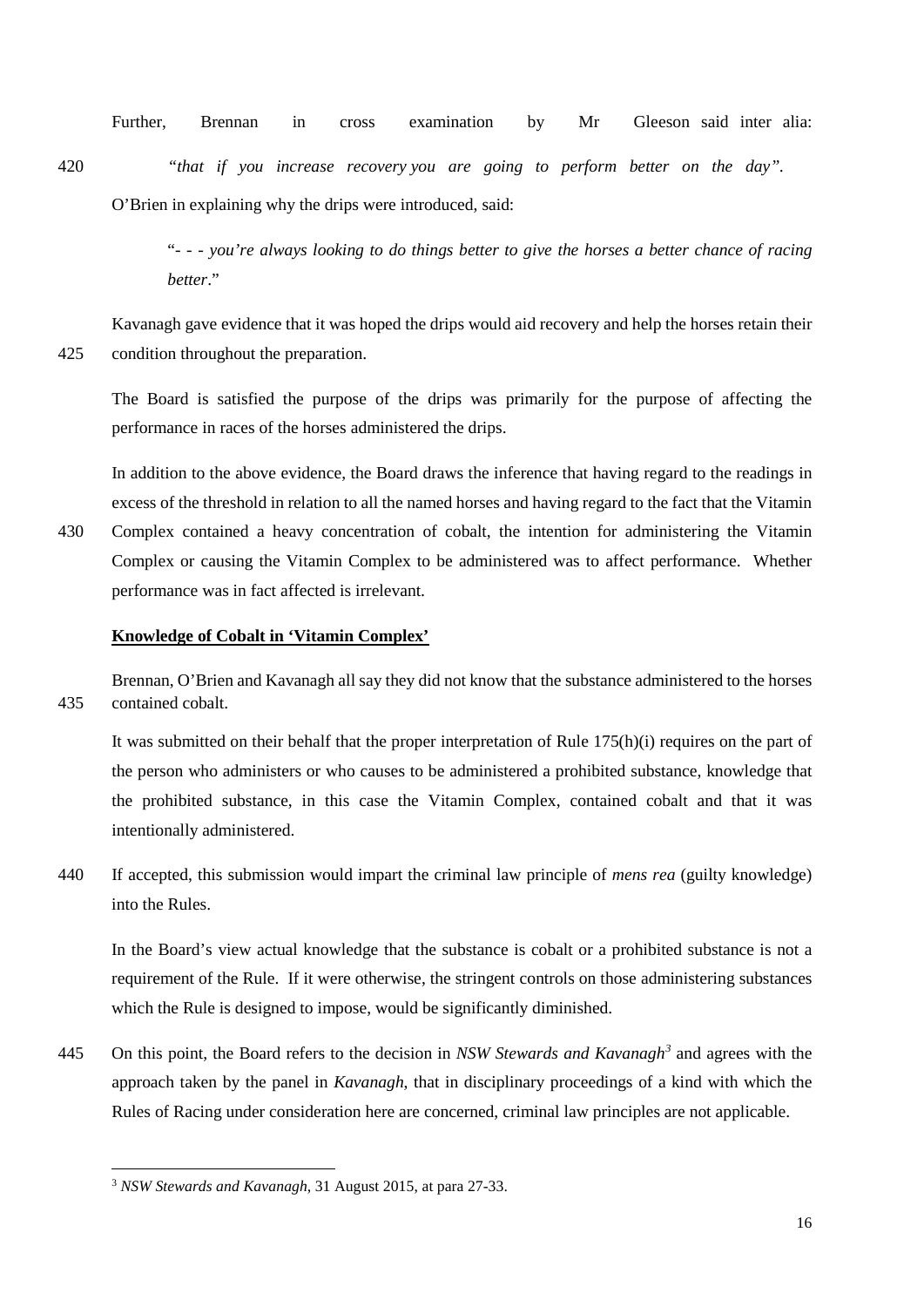Further, Brennan in cross examination by Mr Gleeson said inter alia:

420 *"that if you increase recovery you are going to perform better on the day".* O'Brien in explaining why the drips were introduced, said:

> "- *- - you're always looking to do things better to give the horses a better chance of racing better*."

Kavanagh gave evidence that it was hoped the drips would aid recovery and help the horses retain their 425 condition throughout the preparation.

The Board is satisfied the purpose of the drips was primarily for the purpose of affecting the performance in races of the horses administered the drips.

In addition to the above evidence, the Board draws the inference that having regard to the readings in excess of the threshold in relation to all the named horses and having regard to the fact that the Vitamin

430 Complex contained a heavy concentration of cobalt, the intention for administering the Vitamin Complex or causing the Vitamin Complex to be administered was to affect performance. Whether performance was in fact affected is irrelevant.

# **Knowledge of Cobalt in 'Vitamin Complex'**

Brennan, O'Brien and Kavanagh all say they did not know that the substance administered to the horses 435 contained cobalt.

It was submitted on their behalf that the proper interpretation of Rule 175(h)(i) requires on the part of the person who administers or who causes to be administered a prohibited substance, knowledge that the prohibited substance, in this case the Vitamin Complex, contained cobalt and that it was intentionally administered.

440 If accepted, this submission would impart the criminal law principle of *mens rea* (guilty knowledge) into the Rules.

In the Board's view actual knowledge that the substance is cobalt or a prohibited substance is not a requirement of the Rule. If it were otherwise, the stringent controls on those administering substances which the Rule is designed to impose, would be significantly diminished.

445 On this point, the Board refers to the decision in *NSW Stewards and Kavanagh*<sup>[3](#page-15-0)</sup> and agrees with the approach taken by the panel in *Kavanagh*, that in disciplinary proceedings of a kind with which the Rules of Racing under consideration here are concerned, criminal law principles are not applicable.

<span id="page-15-0"></span> <sup>3</sup> *NSW Stewards and Kavanagh*, 31 August 2015, at para 27-33.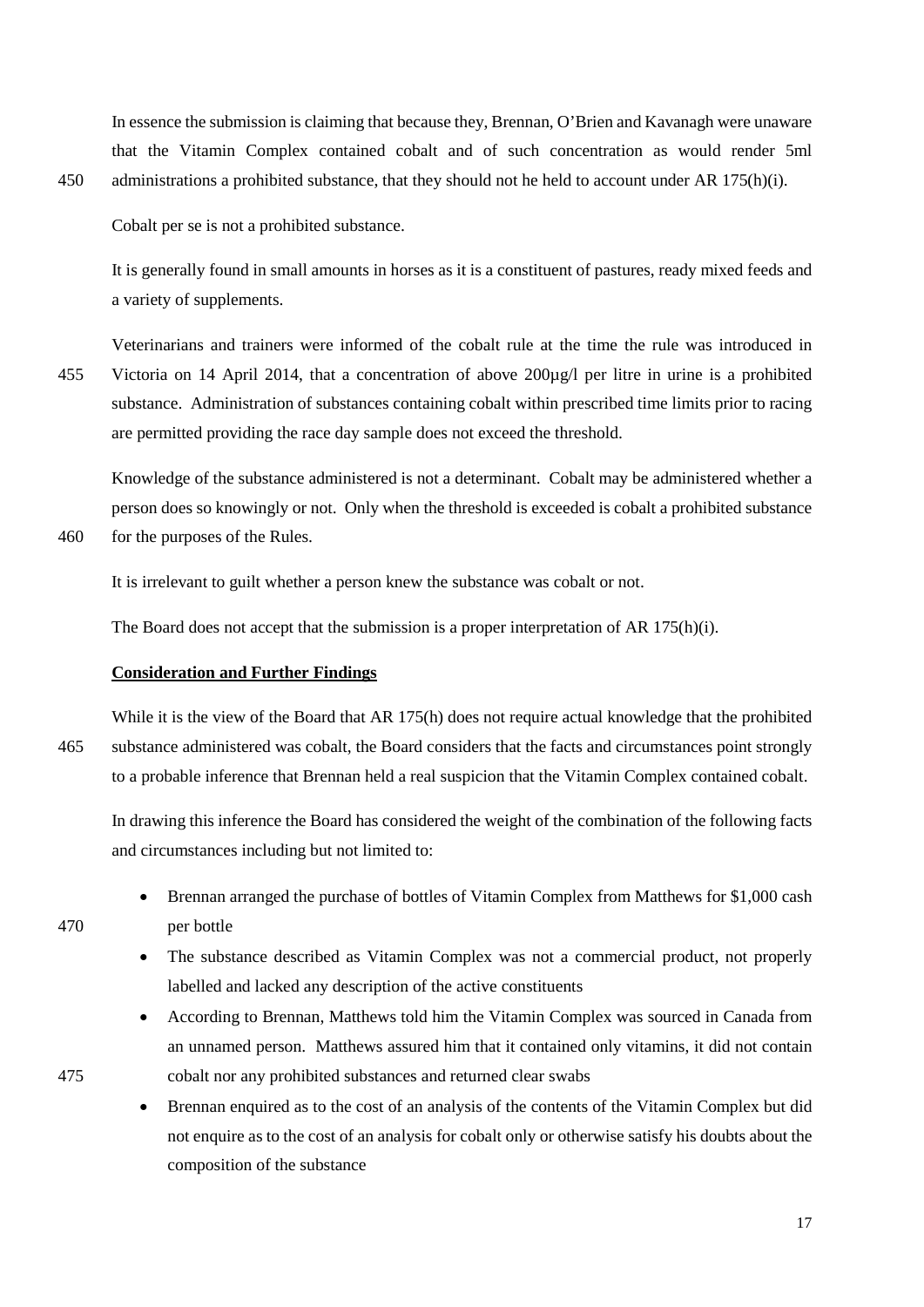In essence the submission is claiming that because they, Brennan, O'Brien and Kavanagh were unaware that the Vitamin Complex contained cobalt and of such concentration as would render 5ml 450 administrations a prohibited substance, that they should not he held to account under AR 175(h)(i).

Cobalt per se is not a prohibited substance.

It is generally found in small amounts in horses as it is a constituent of pastures, ready mixed feeds and a variety of supplements.

Veterinarians and trainers were informed of the cobalt rule at the time the rule was introduced in 455 Victoria on 14 April 2014, that a concentration of above 200µg/l per litre in urine is a prohibited substance. Administration of substances containing cobalt within prescribed time limits prior to racing are permitted providing the race day sample does not exceed the threshold.

Knowledge of the substance administered is not a determinant. Cobalt may be administered whether a person does so knowingly or not. Only when the threshold is exceeded is cobalt a prohibited substance 460 for the purposes of the Rules.

It is irrelevant to guilt whether a person knew the substance was cobalt or not.

The Board does not accept that the submission is a proper interpretation of AR 175(h)(i).

# **Consideration and Further Findings**

While it is the view of the Board that AR 175(h) does not require actual knowledge that the prohibited 465 substance administered was cobalt, the Board considers that the facts and circumstances point strongly to a probable inference that Brennan held a real suspicion that the Vitamin Complex contained cobalt.

In drawing this inference the Board has considered the weight of the combination of the following facts and circumstances including but not limited to:

- Brennan arranged the purchase of bottles of Vitamin Complex from Matthews for \$1,000 cash 470 per bottle
	- The substance described as Vitamin Complex was not a commercial product, not properly labelled and lacked any description of the active constituents
- According to Brennan, Matthews told him the Vitamin Complex was sourced in Canada from an unnamed person. Matthews assured him that it contained only vitamins, it did not contain 475 cobalt nor any prohibited substances and returned clear swabs

• Brennan enquired as to the cost of an analysis of the contents of the Vitamin Complex but did not enquire as to the cost of an analysis for cobalt only or otherwise satisfy his doubts about the composition of the substance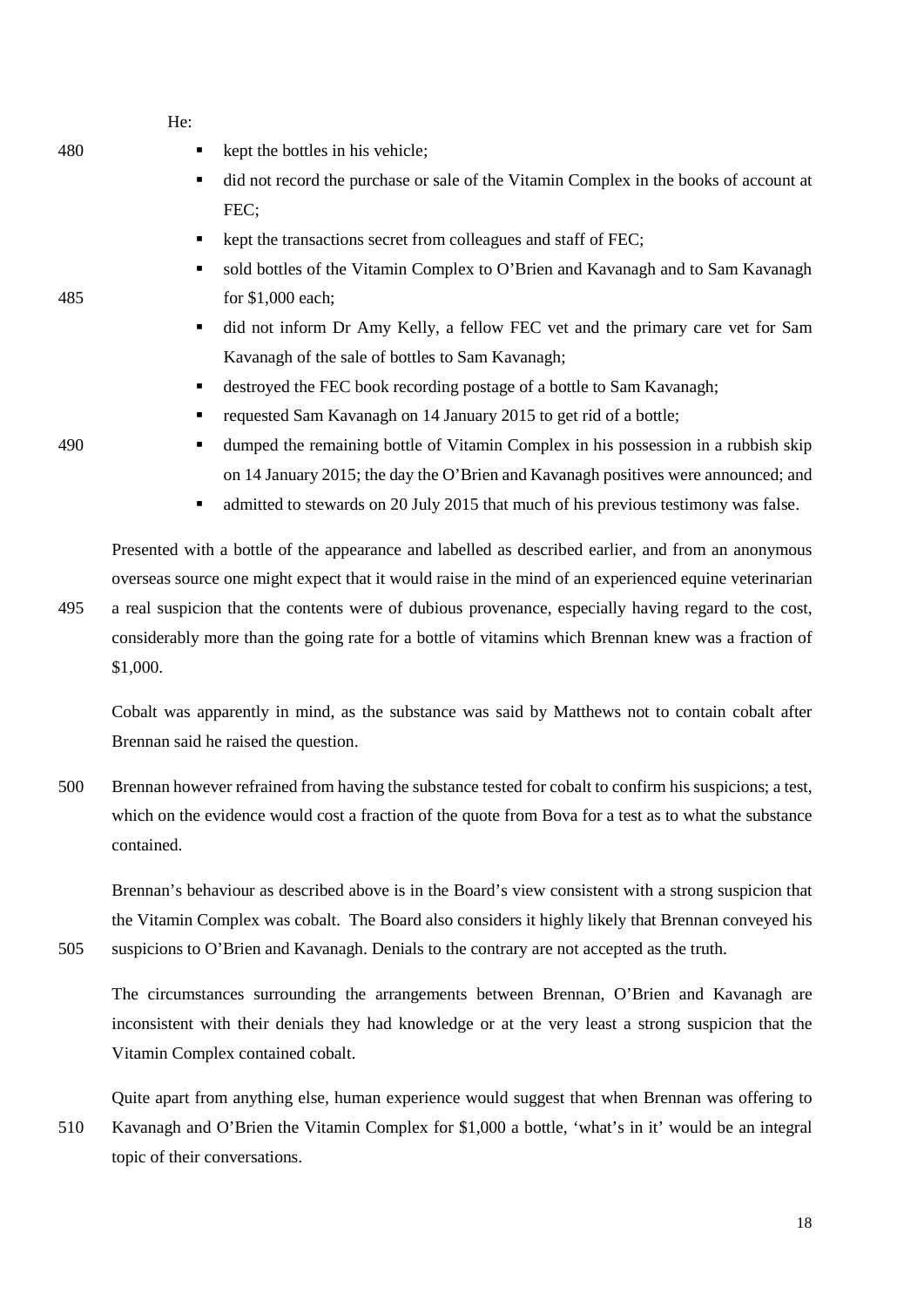| 480 | ٠ | kept the bottles in his vehicle;                                                                   |
|-----|---|----------------------------------------------------------------------------------------------------|
|     | ٠ | did not record the purchase or sale of the Vitamin Complex in the books of account at              |
|     |   | FEC;                                                                                               |
|     | ٠ | kept the transactions secret from colleagues and staff of FEC;                                     |
|     | ٠ | sold bottles of the Vitamin Complex to O'Brien and Kavanagh and to Sam Kavanagh                    |
| 485 |   | for $$1,000$ each;                                                                                 |
|     | ٠ | did not inform Dr Amy Kelly, a fellow FEC vet and the primary care vet for Sam                     |
|     |   | Kavanagh of the sale of bottles to Sam Kavanagh;                                                   |
|     | ٠ | destroyed the FEC book recording postage of a bottle to Sam Kavanagh;                              |
|     | ٠ | requested Sam Kavanagh on 14 January 2015 to get rid of a bottle;                                  |
| 490 | ٠ | dumped the remaining bottle of Vitamin Complex in his possession in a rubbish skip                 |
|     |   | on 14 January 2015; the day the O'Brien and Kavanagh positives were announced; and                 |
|     | ٠ | admitted to stewards on 20 July 2015 that much of his previous testimony was false.                |
|     |   | Presented with a bottle of the appearance and labelled as described earlier, and from an anonymous |
|     |   |                                                                                                    |

 $\mathbf{H}_{\mathbf{a}}$ 

overseas source one might expect that it would raise in the mind of an experienced equine veterinarian 495 a real suspicion that the contents were of dubious provenance, especially having regard to the cost, considerably more than the going rate for a bottle of vitamins which Brennan knew was a fraction of \$1,000.

Cobalt was apparently in mind, as the substance was said by Matthews not to contain cobalt after Brennan said he raised the question.

500 Brennan however refrained from having the substance tested for cobalt to confirm his suspicions; a test, which on the evidence would cost a fraction of the quote from Bova for a test as to what the substance contained.

Brennan's behaviour as described above is in the Board's view consistent with a strong suspicion that the Vitamin Complex was cobalt. The Board also considers it highly likely that Brennan conveyed his

505 suspicions to O'Brien and Kavanagh. Denials to the contrary are not accepted as the truth.

The circumstances surrounding the arrangements between Brennan, O'Brien and Kavanagh are inconsistent with their denials they had knowledge or at the very least a strong suspicion that the Vitamin Complex contained cobalt.

Quite apart from anything else, human experience would suggest that when Brennan was offering to 510 Kavanagh and O'Brien the Vitamin Complex for \$1,000 a bottle, 'what's in it' would be an integral topic of their conversations.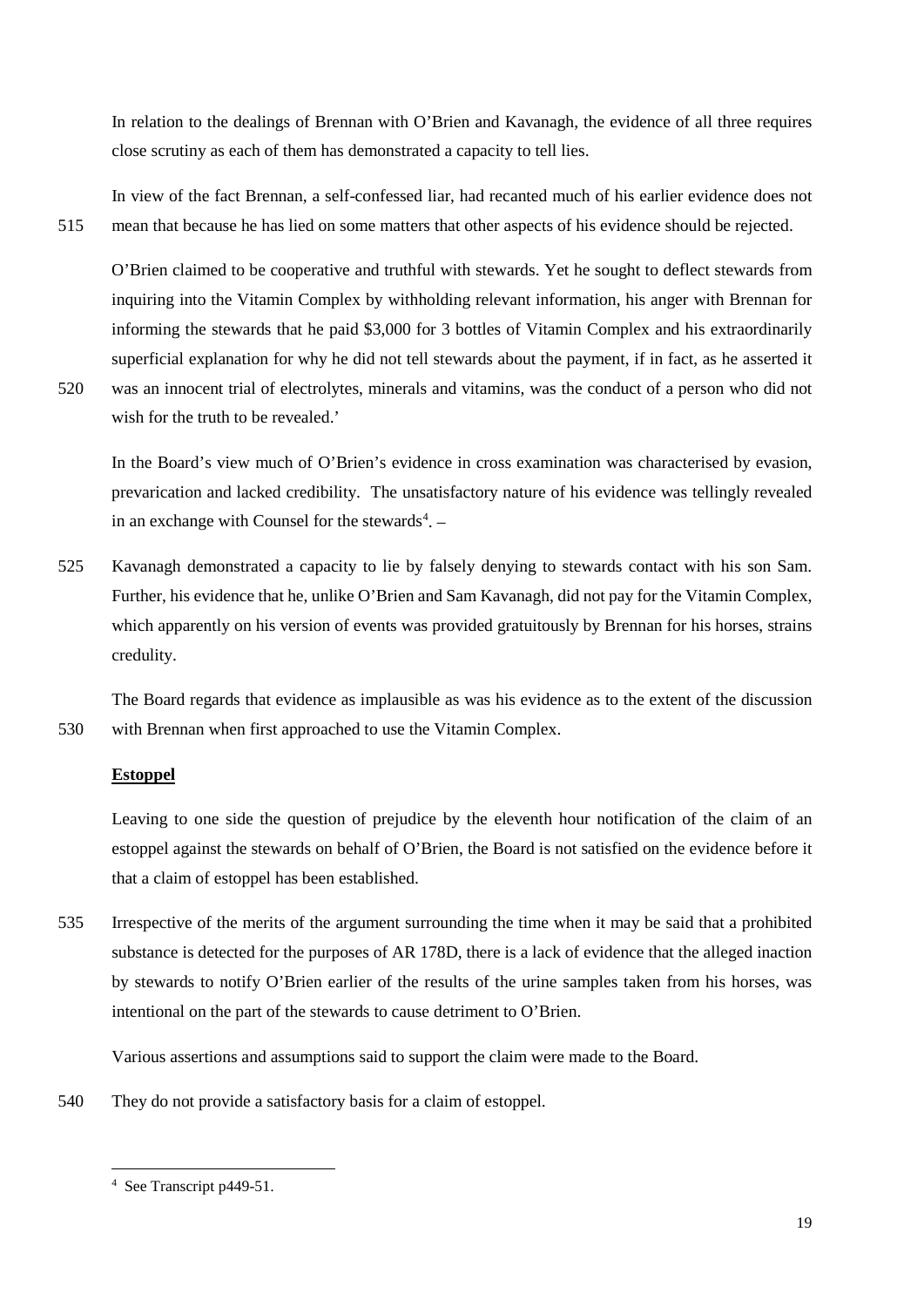In relation to the dealings of Brennan with O'Brien and Kavanagh, the evidence of all three requires close scrutiny as each of them has demonstrated a capacity to tell lies.

In view of the fact Brennan, a self-confessed liar, had recanted much of his earlier evidence does not 515 mean that because he has lied on some matters that other aspects of his evidence should be rejected.

O'Brien claimed to be cooperative and truthful with stewards. Yet he sought to deflect stewards from inquiring into the Vitamin Complex by withholding relevant information, his anger with Brennan for informing the stewards that he paid \$3,000 for 3 bottles of Vitamin Complex and his extraordinarily superficial explanation for why he did not tell stewards about the payment, if in fact, as he asserted it 520 was an innocent trial of electrolytes, minerals and vitamins, was the conduct of a person who did not

wish for the truth to be revealed.'

In the Board's view much of O'Brien's evidence in cross examination was characterised by evasion, prevarication and lacked credibility. The unsatisfactory nature of his evidence was tellingly revealed in an exchange with Counsel for the stewards $4$ .

525 Kavanagh demonstrated a capacity to lie by falsely denying to stewards contact with his son Sam. Further, his evidence that he, unlike O'Brien and Sam Kavanagh, did not pay for the Vitamin Complex, which apparently on his version of events was provided gratuitously by Brennan for his horses, strains credulity.

The Board regards that evidence as implausible as was his evidence as to the extent of the discussion 530 with Brennan when first approached to use the Vitamin Complex.

# **Estoppel**

Leaving to one side the question of prejudice by the eleventh hour notification of the claim of an estoppel against the stewards on behalf of O'Brien, the Board is not satisfied on the evidence before it that a claim of estoppel has been established.

535 Irrespective of the merits of the argument surrounding the time when it may be said that a prohibited substance is detected for the purposes of AR 178D, there is a lack of evidence that the alleged inaction by stewards to notify O'Brien earlier of the results of the urine samples taken from his horses, was intentional on the part of the stewards to cause detriment to O'Brien.

Various assertions and assumptions said to support the claim were made to the Board.

<span id="page-18-0"></span>540 They do not provide a satisfactory basis for a claim of estoppel.

<sup>-&</sup>lt;br>4  $4$  See Transcript p449-51.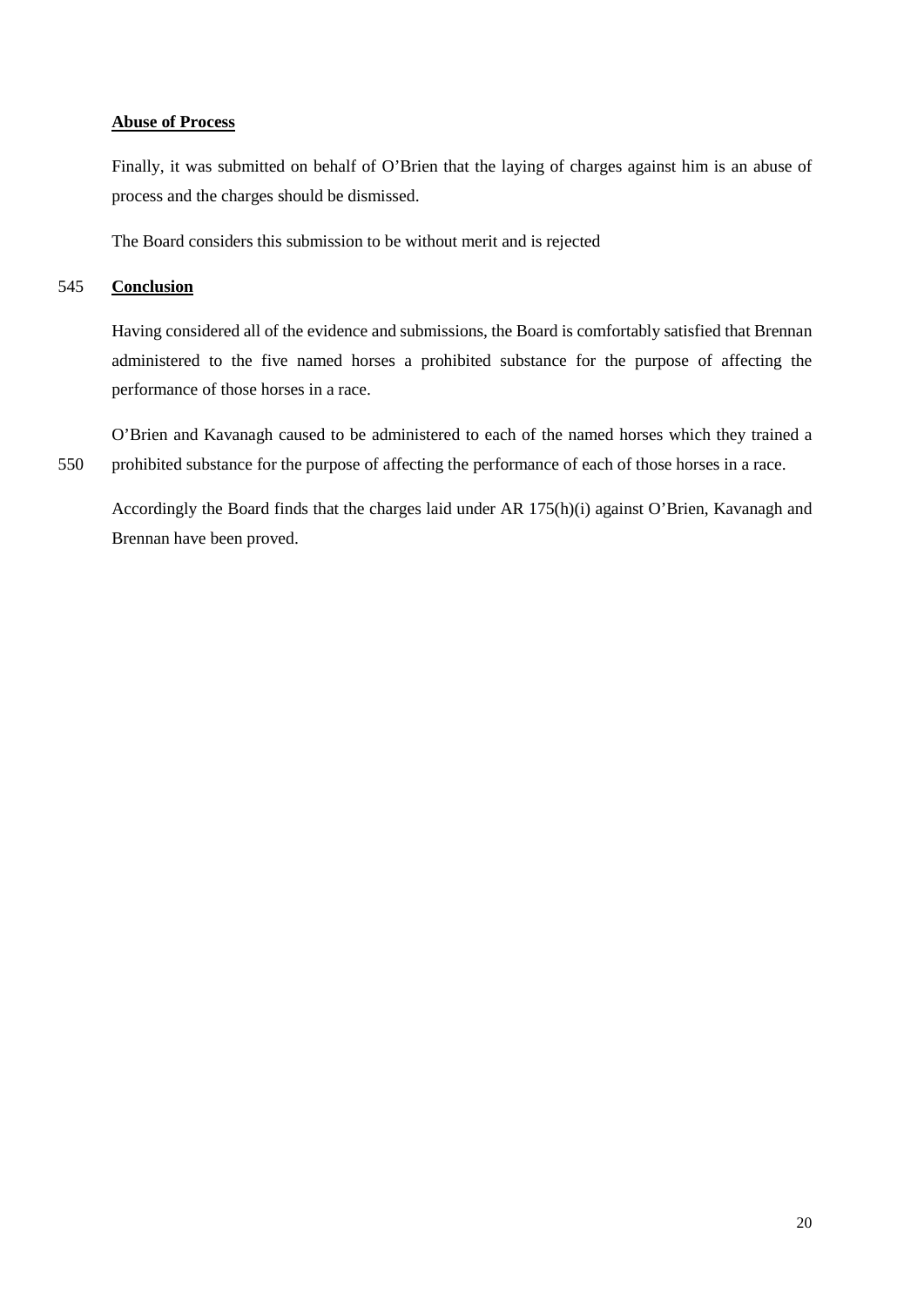# **Abuse of Process**

Finally, it was submitted on behalf of O'Brien that the laying of charges against him is an abuse of process and the charges should be dismissed.

The Board considers this submission to be without merit and is rejected

# 545 **Conclusion**

Having considered all of the evidence and submissions, the Board is comfortably satisfied that Brennan administered to the five named horses a prohibited substance for the purpose of affecting the performance of those horses in a race.

O'Brien and Kavanagh caused to be administered to each of the named horses which they trained a 550 prohibited substance for the purpose of affecting the performance of each of those horses in a race.

Accordingly the Board finds that the charges laid under AR 175(h)(i) against O'Brien, Kavanagh and Brennan have been proved.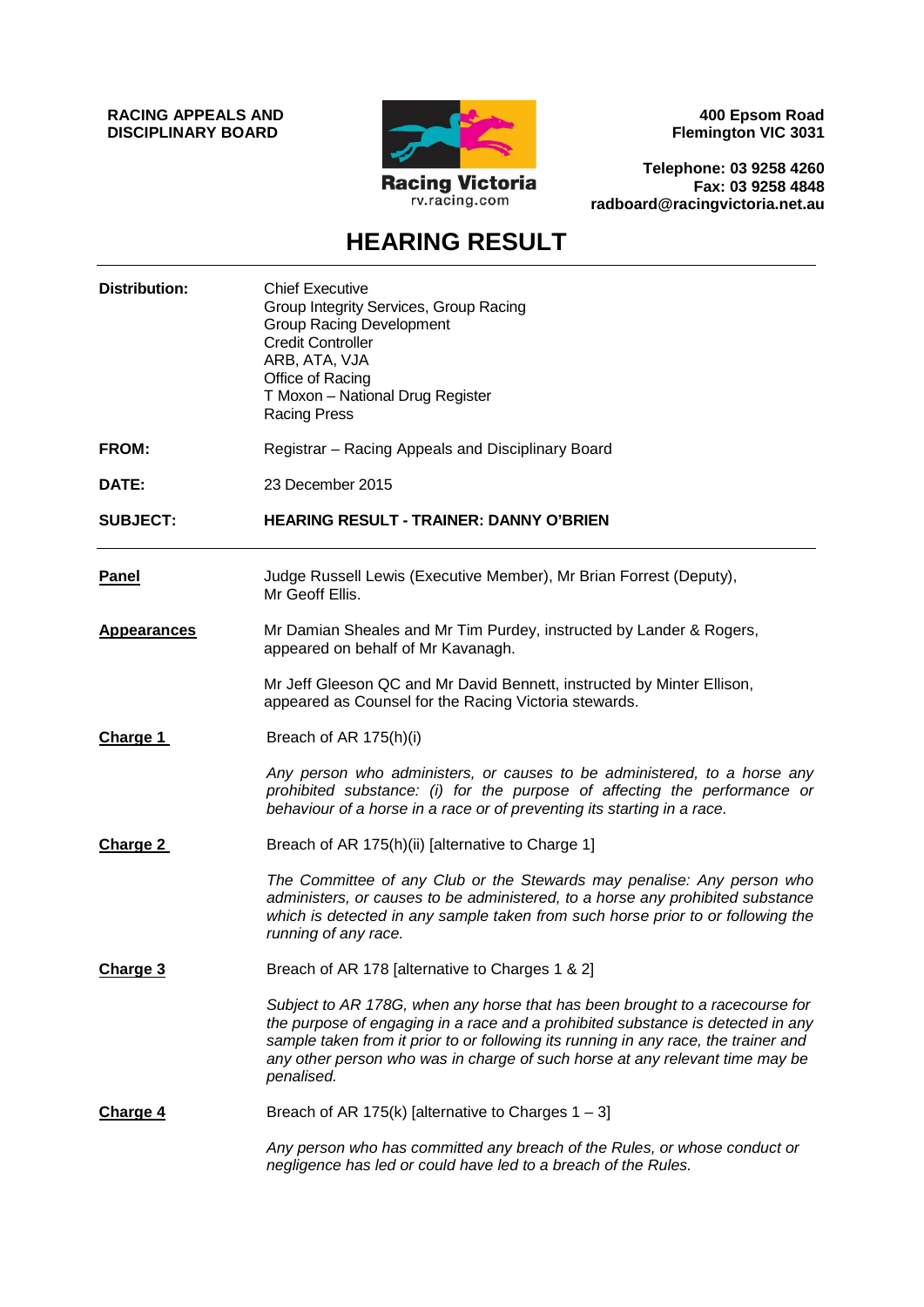**RACING APPEALS AND DISCIPLINARY BOARD**



**400 Epsom Road Flemington VIC 3031**

**Telephone: 03 9258 4260 Fax: 03 9258 4848 radboard@racingvictoria.net.au**

# **HEARING RESULT**

| <b>Distribution:</b> | <b>Chief Executive</b><br>Group Integrity Services, Group Racing<br><b>Group Racing Development</b><br><b>Credit Controller</b><br>ARB, ATA, VJA<br>Office of Racing<br>T Moxon - National Drug Register<br><b>Racing Press</b>                                                                                                                      |
|----------------------|------------------------------------------------------------------------------------------------------------------------------------------------------------------------------------------------------------------------------------------------------------------------------------------------------------------------------------------------------|
| FROM:                | Registrar - Racing Appeals and Disciplinary Board                                                                                                                                                                                                                                                                                                    |
| DATE:                | 23 December 2015                                                                                                                                                                                                                                                                                                                                     |
| <b>SUBJECT:</b>      | <b>HEARING RESULT - TRAINER: DANNY O'BRIEN</b>                                                                                                                                                                                                                                                                                                       |
| <b>Panel</b>         | Judge Russell Lewis (Executive Member), Mr Brian Forrest (Deputy),<br>Mr Geoff Ellis.                                                                                                                                                                                                                                                                |
| <b>Appearances</b>   | Mr Damian Sheales and Mr Tim Purdey, instructed by Lander & Rogers,<br>appeared on behalf of Mr Kavanagh.                                                                                                                                                                                                                                            |
|                      | Mr Jeff Gleeson QC and Mr David Bennett, instructed by Minter Ellison,<br>appeared as Counsel for the Racing Victoria stewards.                                                                                                                                                                                                                      |
| Charge 1             | Breach of AR 175(h)(i)                                                                                                                                                                                                                                                                                                                               |
|                      | Any person who administers, or causes to be administered, to a horse any<br>prohibited substance: (i) for the purpose of affecting the performance or<br>behaviour of a horse in a race or of preventing its starting in a race.                                                                                                                     |
| Charge 2             | Breach of AR 175(h)(ii) [alternative to Charge 1]                                                                                                                                                                                                                                                                                                    |
|                      | The Committee of any Club or the Stewards may penalise: Any person who<br>administers, or causes to be administered, to a horse any prohibited substance<br>which is detected in any sample taken from such horse prior to or following the<br>running of any race.                                                                                  |
| Charge 3             | Breach of AR 178 [alternative to Charges 1 & 2]                                                                                                                                                                                                                                                                                                      |
|                      | Subject to AR 178G, when any horse that has been brought to a racecourse for<br>the purpose of engaging in a race and a prohibited substance is detected in any<br>sample taken from it prior to or following its running in any race, the trainer and<br>any other person who was in charge of such horse at any relevant time may be<br>penalised. |
| <b>Charge 4</b>      | Breach of AR 175(k) [alternative to Charges $1 - 3$ ]                                                                                                                                                                                                                                                                                                |
|                      | Any person who has committed any breach of the Rules, or whose conduct or<br>negligence has led or could have led to a breach of the Rules.                                                                                                                                                                                                          |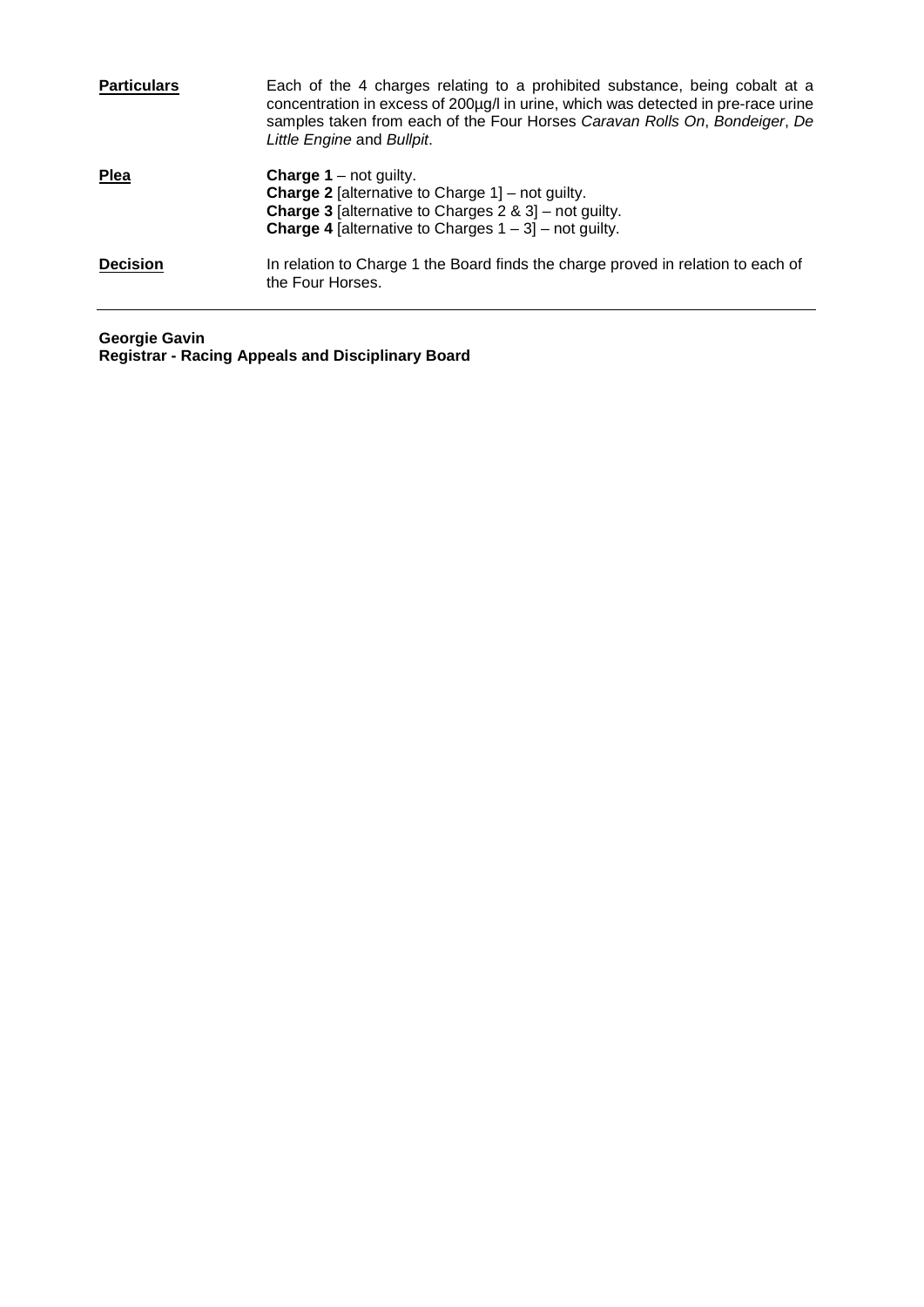| <b>Particulars</b> | Each of the 4 charges relating to a prohibited substance, being cobalt at a<br>concentration in excess of 200µg/l in urine, which was detected in pre-race urine<br>samples taken from each of the Four Horses Caravan Rolls On, Bondeiger, De<br>Little Engine and Bullpit. |
|--------------------|------------------------------------------------------------------------------------------------------------------------------------------------------------------------------------------------------------------------------------------------------------------------------|
| <b>Plea</b>        | <b>Charge 1</b> – not guilty.<br><b>Charge 2</b> [alternative to Charge $1$ ] – not guilty.<br><b>Charge 3</b> [alternative to Charges $2 \& 3$ ] – not guilty.<br><b>Charge 4</b> [alternative to Charges $1 - 3$ ] – not guilty.                                           |
| <b>Decision</b>    | In relation to Charge 1 the Board finds the charge proved in relation to each of<br>the Four Horses.                                                                                                                                                                         |

**Georgie Gavin Registrar - Racing Appeals and Disciplinary Board**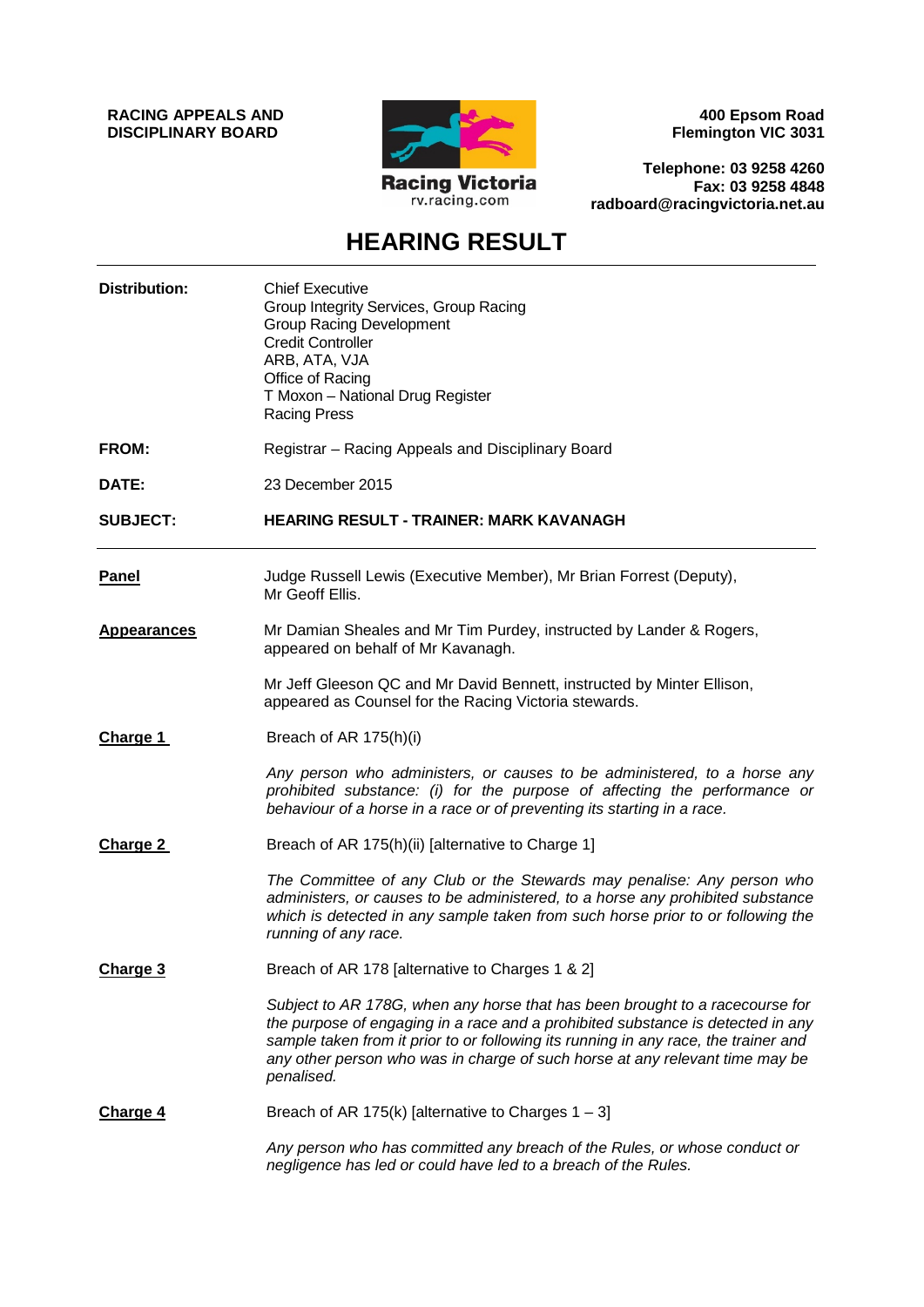**RACING APPEALS AND DISCIPLINARY BOARD**



**400 Epsom Road Flemington VIC 3031**

**Telephone: 03 9258 4260 Fax: 03 9258 4848 radboard@racingvictoria.net.au**

# **HEARING RESULT**

| <b>Distribution:</b> | <b>Chief Executive</b><br>Group Integrity Services, Group Racing<br><b>Group Racing Development</b><br><b>Credit Controller</b><br>ARB, ATA, VJA<br>Office of Racing<br>T Moxon - National Drug Register<br><b>Racing Press</b>                                                                                                                      |
|----------------------|------------------------------------------------------------------------------------------------------------------------------------------------------------------------------------------------------------------------------------------------------------------------------------------------------------------------------------------------------|
| FROM:                | Registrar - Racing Appeals and Disciplinary Board                                                                                                                                                                                                                                                                                                    |
| DATE:                | 23 December 2015                                                                                                                                                                                                                                                                                                                                     |
| <b>SUBJECT:</b>      | <b>HEARING RESULT - TRAINER: MARK KAVANAGH</b>                                                                                                                                                                                                                                                                                                       |
| <b>Panel</b>         | Judge Russell Lewis (Executive Member), Mr Brian Forrest (Deputy),<br>Mr Geoff Ellis.                                                                                                                                                                                                                                                                |
| <b>Appearances</b>   | Mr Damian Sheales and Mr Tim Purdey, instructed by Lander & Rogers,<br>appeared on behalf of Mr Kavanagh.                                                                                                                                                                                                                                            |
|                      | Mr Jeff Gleeson QC and Mr David Bennett, instructed by Minter Ellison,<br>appeared as Counsel for the Racing Victoria stewards.                                                                                                                                                                                                                      |
| <b>Charge 1</b>      | Breach of AR 175(h)(i)                                                                                                                                                                                                                                                                                                                               |
|                      | Any person who administers, or causes to be administered, to a horse any<br>prohibited substance: (i) for the purpose of affecting the performance or<br>behaviour of a horse in a race or of preventing its starting in a race.                                                                                                                     |
| Charge 2             | Breach of AR 175(h)(ii) [alternative to Charge 1]                                                                                                                                                                                                                                                                                                    |
|                      | The Committee of any Club or the Stewards may penalise: Any person who<br>administers, or causes to be administered, to a horse any prohibited substance<br>which is detected in any sample taken from such horse prior to or following the<br>running of any race.                                                                                  |
| Charge 3             | Breach of AR 178 [alternative to Charges 1 & 2]                                                                                                                                                                                                                                                                                                      |
|                      | Subject to AR 178G, when any horse that has been brought to a racecourse for<br>the purpose of engaging in a race and a prohibited substance is detected in any<br>sample taken from it prior to or following its running in any race, the trainer and<br>any other person who was in charge of such horse at any relevant time may be<br>penalised. |
| Charge 4             | Breach of AR 175(k) [alternative to Charges $1 - 3$ ]                                                                                                                                                                                                                                                                                                |
|                      | Any person who has committed any breach of the Rules, or whose conduct or<br>negligence has led or could have led to a breach of the Rules.                                                                                                                                                                                                          |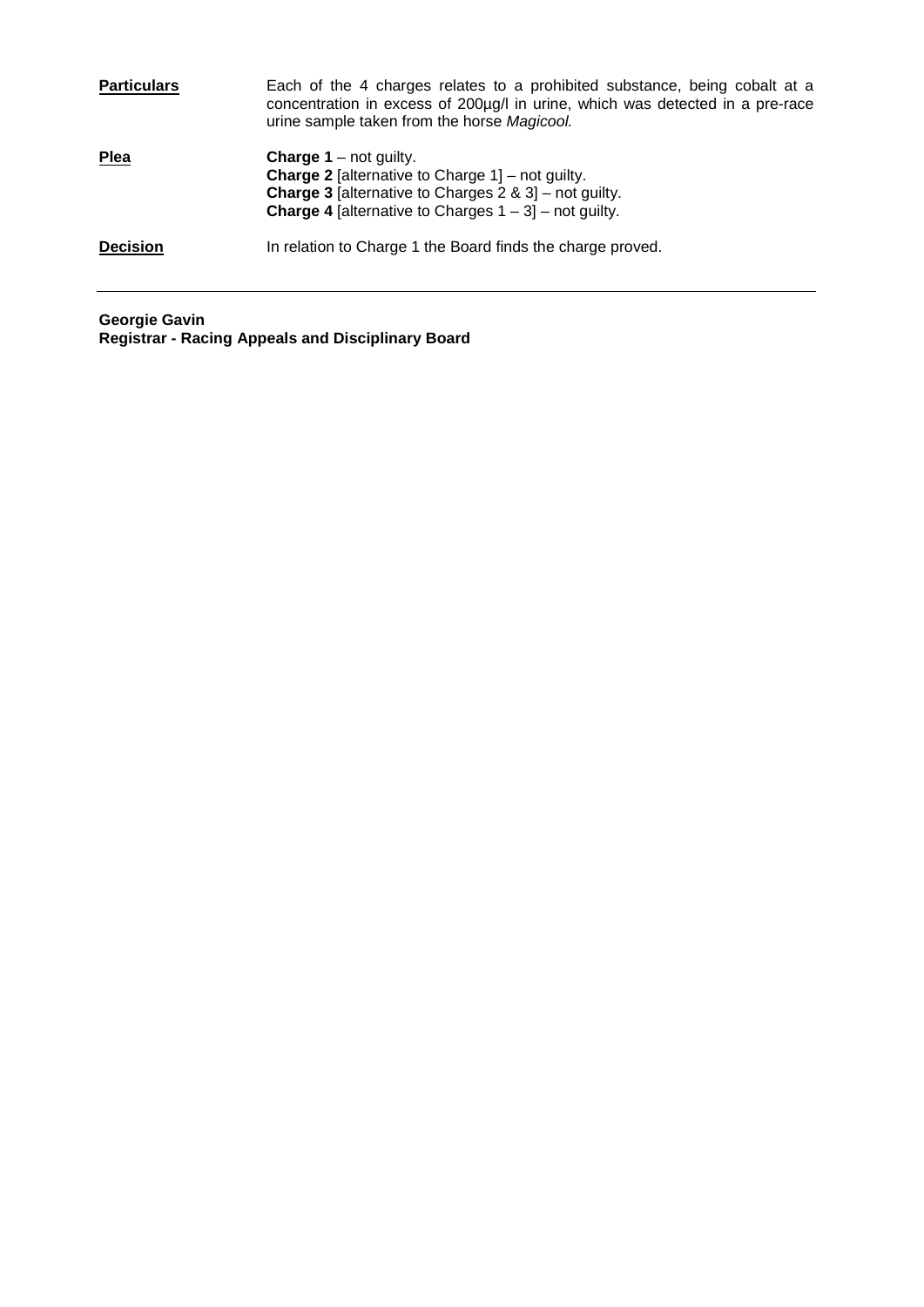| <b>Particulars</b> | Each of the 4 charges relates to a prohibited substance, being cobalt at a<br>concentration in excess of 200µg/l in urine, which was detected in a pre-race<br>urine sample taken from the horse Magicool.                         |
|--------------------|------------------------------------------------------------------------------------------------------------------------------------------------------------------------------------------------------------------------------------|
| <b>Plea</b>        | <b>Charge 1</b> – not guilty.<br><b>Charge 2</b> [alternative to Charge $1$ ] – not guilty.<br><b>Charge 3</b> [alternative to Charges $2 \& 3$ ] – not guilty.<br><b>Charge 4</b> [alternative to Charges $1 - 3$ ] – not guilty. |
| <b>Decision</b>    | In relation to Charge 1 the Board finds the charge proved.                                                                                                                                                                         |

**Georgie Gavin Registrar - Racing Appeals and Disciplinary Board**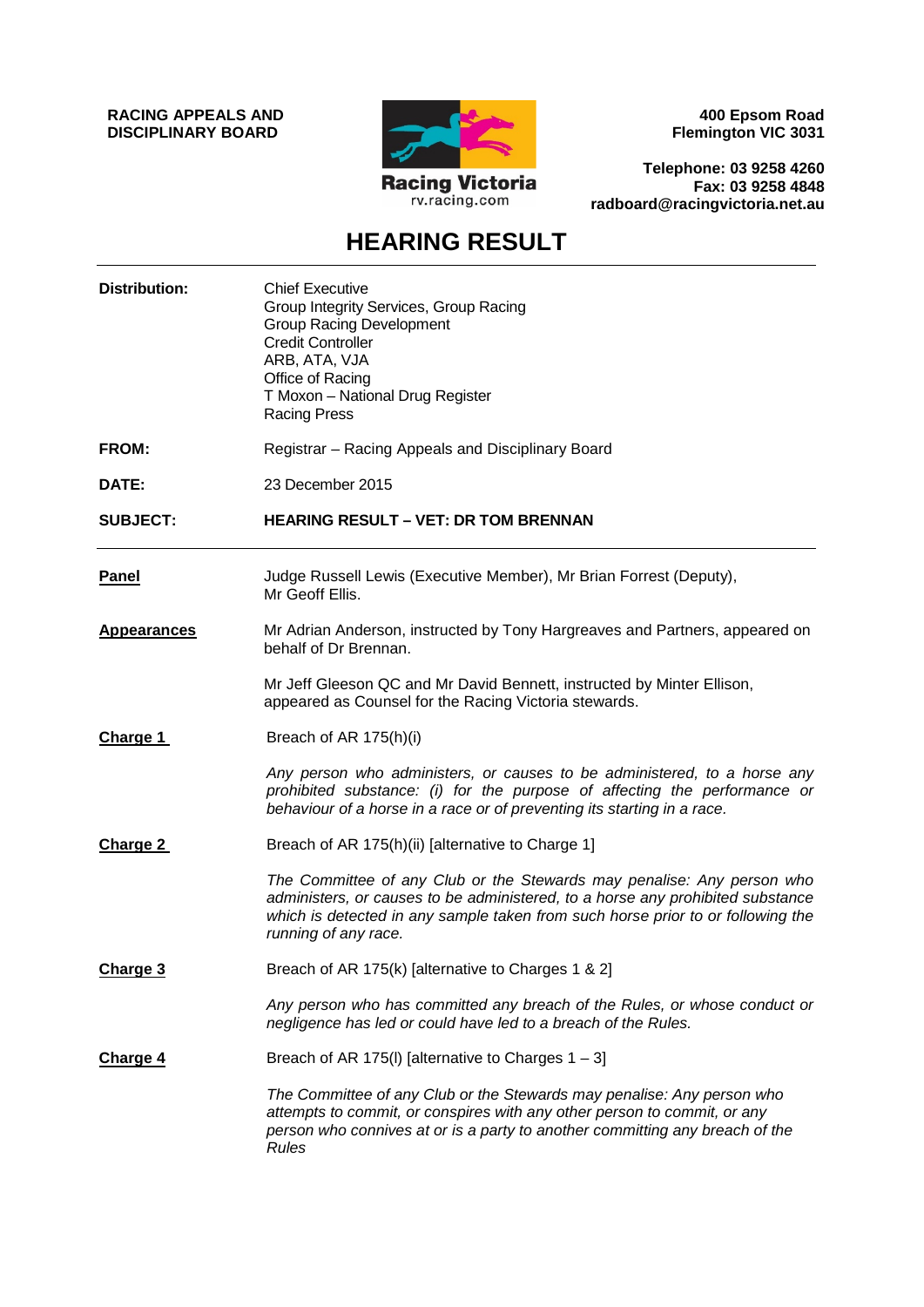**RACING APPEALS AND DISCIPLINARY BOARD**



**400 Epsom Road Flemington VIC 3031**

**Telephone: 03 9258 4260 Fax: 03 9258 4848 radboard@racingvictoria.net.au**

# **HEARING RESULT**

| <b>Distribution:</b> | <b>Chief Executive</b><br>Group Integrity Services, Group Racing<br><b>Group Racing Development</b><br><b>Credit Controller</b><br>ARB, ATA, VJA<br>Office of Racing<br>T Moxon - National Drug Register<br><b>Racing Press</b>                                     |
|----------------------|---------------------------------------------------------------------------------------------------------------------------------------------------------------------------------------------------------------------------------------------------------------------|
| FROM:                | Registrar - Racing Appeals and Disciplinary Board                                                                                                                                                                                                                   |
| DATE:                | 23 December 2015                                                                                                                                                                                                                                                    |
| <b>SUBJECT:</b>      | <b>HEARING RESULT - VET: DR TOM BRENNAN</b>                                                                                                                                                                                                                         |
| <b>Panel</b>         | Judge Russell Lewis (Executive Member), Mr Brian Forrest (Deputy),<br>Mr Geoff Ellis.                                                                                                                                                                               |
| Appearances          | Mr Adrian Anderson, instructed by Tony Hargreaves and Partners, appeared on<br>behalf of Dr Brennan.                                                                                                                                                                |
|                      | Mr Jeff Gleeson QC and Mr David Bennett, instructed by Minter Ellison,<br>appeared as Counsel for the Racing Victoria stewards.                                                                                                                                     |
| Charge 1             | Breach of AR 175(h)(i)                                                                                                                                                                                                                                              |
|                      | Any person who administers, or causes to be administered, to a horse any<br>prohibited substance: (i) for the purpose of affecting the performance or<br>behaviour of a horse in a race or of preventing its starting in a race.                                    |
| Charge 2             | Breach of AR 175(h)(ii) [alternative to Charge 1]                                                                                                                                                                                                                   |
|                      | The Committee of any Club or the Stewards may penalise: Any person who<br>administers, or causes to be administered, to a horse any prohibited substance<br>which is detected in any sample taken from such horse prior to or following the<br>running of any race. |
| Charge 3             | Breach of AR 175(k) [alternative to Charges 1 & 2]                                                                                                                                                                                                                  |
|                      | Any person who has committed any breach of the Rules, or whose conduct or<br>negligence has led or could have led to a breach of the Rules.                                                                                                                         |
| Charge 4             | Breach of AR 175(I) [alternative to Charges $1 - 3$ ]                                                                                                                                                                                                               |
|                      | The Committee of any Club or the Stewards may penalise: Any person who<br>attempts to commit, or conspires with any other person to commit, or any<br>person who connives at or is a party to another committing any breach of the<br><b>Rules</b>                  |